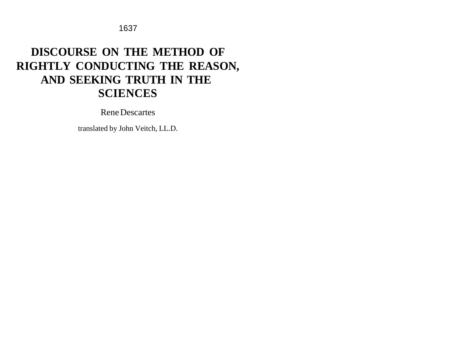# **DISCOURSE ON THE METHOD OF RIGHTLY CONDUCTING THE REASON, AND SEEKING TRUTH IN THE SCIENCES**

Rene Descartes

translated by John Veitch, LL.D.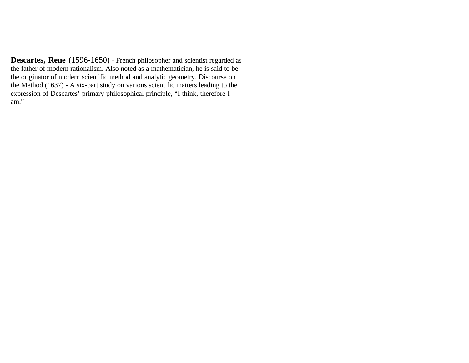**Descartes, Rene** (1596-1650) - French philosopher and scientist regarded as the father of modern rationalism. Also noted as a mathematician, he is said to be the originator of modern scientific method and analytic geometry. Discourse on the Method (1637) - A six-part study on various scientific matters leading to the expression of Descartes' primary philosophical principle, "I think, therefore I am."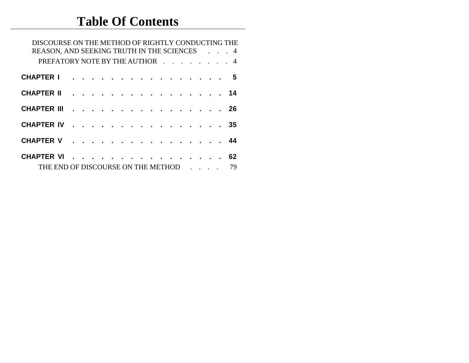# **Table Of Contents**

| DISCOURSE ON THE METHOD OF RIGHTLY CONDUCTING THE<br>REASON, AND SEEKING TRUTH IN THE SCIENCES 4 |  |  |  |   |  |  |  |  |  |  |  |  |    |  |  |  |     |
|--------------------------------------------------------------------------------------------------|--|--|--|---|--|--|--|--|--|--|--|--|----|--|--|--|-----|
| PREFATORY NOTE BY THE AUTHOR 4                                                                   |  |  |  |   |  |  |  |  |  |  |  |  |    |  |  |  |     |
| <b>CHAPTER I</b>                                                                                 |  |  |  |   |  |  |  |  |  |  |  |  |    |  |  |  | . 5 |
| <b>CHAPTER II</b>                                                                                |  |  |  |   |  |  |  |  |  |  |  |  |    |  |  |  |     |
| <b>CHAPTER III</b>                                                                               |  |  |  |   |  |  |  |  |  |  |  |  |    |  |  |  | 26  |
| <b>CHAPTER IV</b>                                                                                |  |  |  |   |  |  |  |  |  |  |  |  |    |  |  |  | 35  |
| <b>CHAPTER V</b>                                                                                 |  |  |  |   |  |  |  |  |  |  |  |  |    |  |  |  |     |
| <b>CHAPTER VI</b>                                                                                |  |  |  | . |  |  |  |  |  |  |  |  |    |  |  |  | 62  |
| THE END OF DISCOURSE ON THE METHOD                                                               |  |  |  |   |  |  |  |  |  |  |  |  | 79 |  |  |  |     |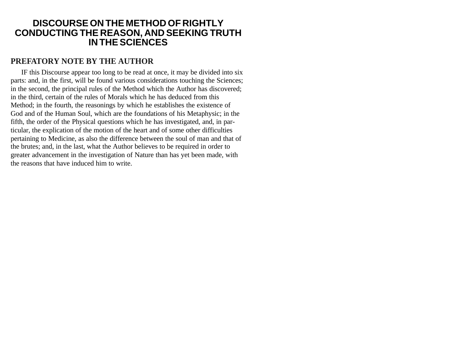#### **DISCOURSE ON THE METHOD OF RIGHTLY CONDUCTING THE REASON, AND SEEKING TRUTH IN THE SCIENCES**

#### **PREFATORY NOTE BY THE AUTHOR**

IF this Discourse appear too long to be read at once, it may be divided into six parts: and, in the first, will be found various considerations touching the Sciences; in the second, the principal rules of the Method which the Author has discovered; in the third, certain of the rules of Morals which he has deduced from this Method; in the fourth, the reasonings by which he establishes the existence of God and of the Human Soul, which are the foundations of his Metaphysic; in the fifth, the order of the Physical questions which he has investigated, and, in particular, the explication of the motion of the heart and of some other difficulties pertaining to Medicine, as also the difference between the soul of man and that of the brutes; and, in the last, what the Author believes to be required in order to greater advancement in the investigation of Nature than has yet been made, with the reasons that have induced him to write.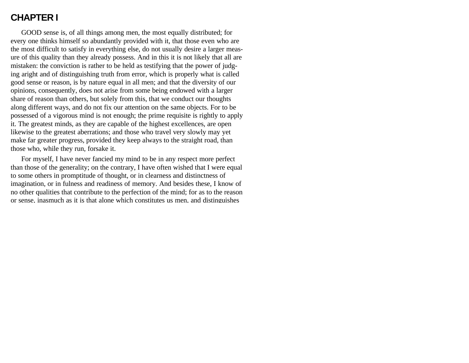## **CHAPTER I**

GOOD sense is, of all things among men, the most equally distributed; for every one thinks himself so abundantly provided with it, that those even who are the most difficult to satisfy in everything else, do not usually desire a larger measure of this quality than they already possess. And in this it is not likely that all are mistaken: the conviction is rather to be held as testifying that the power of judging aright and of distinguishing truth from error, which is properly what is called good sense or reason, is by nature equal in all men; and that the diversity of our opinions, consequently, does not arise from some being endowed with a larger share of reason than others, but solely from this, that we conduct our thoughts along different ways, and do not fix our attention on the same objects. For to be possessed of a vigorous mind is not enough; the prime requisite is rightly to apply it. The greatest minds, as they are capable of the highest excellences, are open likewise to the greatest aberrations; and those who travel very slowly may yet make far greater progress, provided they keep always to the straight road, than those who, while they run, forsake it.

For myself, I have never fancied my mind to be in any respect more perfect than those of the generality; on the contrary, I have often wished that I were equal to some others in promptitude of thought, or in clearness and distinctness of imagination, or in fulness and readiness of memory. And besides these, I know of no other qualities that contribute to the perfection of the mind; for as to the reason or sense, inasmuch as it is that alone which constitutes us men, and distinguishes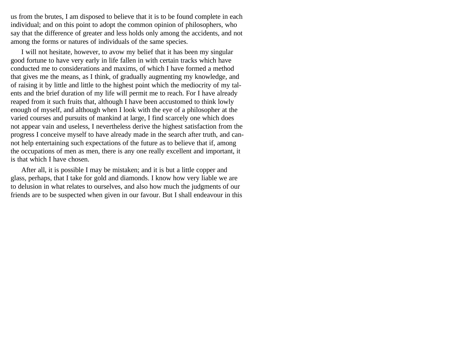us from the brutes, I am disposed to believe that it is to be found complete in each individual; and on this point to adopt the common opinion of philosophers, who say that the difference of greater and less holds only among the accidents, and not among the forms or natures of individuals of the same species.

I will not hesitate, however, to avow my belief that it has been my singular good fortune to have very early in life fallen in with certain tracks which have conducted me to considerations and maxims, of which I have formed a method that gives me the means, as I think, of gradually augmenting my knowledge, and of raising it by little and little to the highest point which the mediocrity of my talents and the brief duration of my life will permit me to reach. For I have already reaped from it such fruits that, although I have been accustomed to think lowly enough of myself, and although when I look with the eye of a philosopher at the varied courses and pursuits of mankind at large, I find scarcely one which does not appear vain and useless, I nevertheless derive the highest satisfaction from the progress I conceive myself to have already made in the search after truth, and cannot help entertaining such expectations of the future as to believe that if, among the occupations of men as men, there is any one really excellent and important, it is that which I have chosen.

After all, it is possible I may be mistaken; and it is but a little copper and glass, perhaps, that I take for gold and diamonds. I know how very liable we are to delusion in what relates to ourselves, and also how much the judgments of our friends are to be suspected when given in our favour. But I shall endeavour in this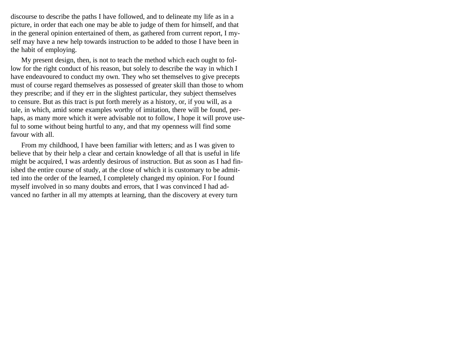discourse to describe the paths I have followed, and to delineate my life as in a picture, in order that each one may be able to judge of them for himself, and that in the general opinion entertained of them, as gathered from current report, I myself may have a new help towards instruction to be added to those I have been in the habit of employing.

My present design, then, is not to teach the method which each ought to follow for the right conduct of his reason, but solely to describe the way in which I have endeavoured to conduct my own. They who set themselves to give precepts must of course regard themselves as possessed of greater skill than those to whom they prescribe; and if they err in the slightest particular, they subject themselves to censure. But as this tract is put forth merely as a history, or, if you will, as a tale, in which, amid some examples worthy of imitation, there will be found, perhaps, as many more which it were advisable not to follow, I hope it will prove useful to some without being hurtful to any, and that my openness will find some favour with all.

From my childhood, I have been familiar with letters; and as I was given to believe that by their help a clear and certain knowledge of all that is useful in life might be acquired, I was ardently desirous of instruction. But as soon as I had finished the entire course of study, at the close of which it is customary to be admitted into the order of the learned, I completely changed my opinion. For I found myself involved in so many doubts and errors, that I was convinced I had advanced no farther in all my attempts at learning, than the discovery at every turn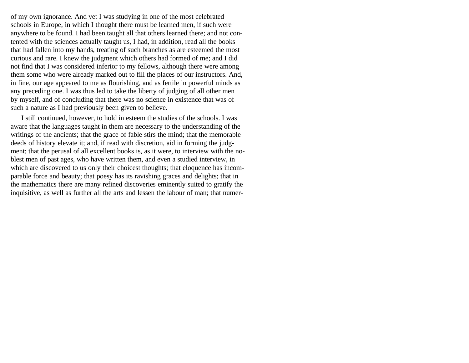of my own ignorance. And yet I was studying in one of the most celebrated schools in Europe, in which I thought there must be learned men, if such were anywhere to be found. I had been taught all that others learned there; and not contented with the sciences actually taught us, I had, in addition, read all the books that had fallen into my hands, treating of such branches as are esteemed the most curious and rare. I knew the judgment which others had formed of me; and I did not find that I was considered inferior to my fellows, although there were among them some who were already marked out to fill the places of our instructors. And, in fine, our age appeared to me as flourishing, and as fertile in powerful minds as any preceding one. I was thus led to take the liberty of judging of all other men by myself, and of concluding that there was no science in existence that was of such a nature as I had previously been given to believe.

I still continued, however, to hold in esteem the studies of the schools. I was aware that the languages taught in them are necessary to the understanding of the writings of the ancients; that the grace of fable stirs the mind; that the memorable deeds of history elevate it; and, if read with discretion, aid in forming the judgment; that the perusal of all excellent books is, as it were, to interview with the noblest men of past ages, who have written them, and even a studied interview, in which are discovered to us only their choicest thoughts; that eloquence has incomparable force and beauty; that poesy has its ravishing graces and delights; that in the mathematics there are many refined discoveries eminently suited to gratify the inquisitive, as well as further all the arts and lessen the labour of man; that numer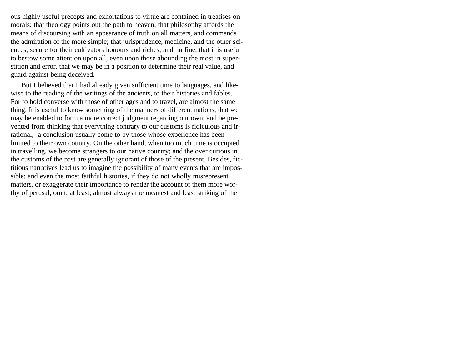ous highly useful precepts and exhortations to virtue are contained in treatises on morals; that theology points out the path to heaven; that philosophy affords the means of discoursing with an appearance of truth on all matters, and commands the admiration of the more simple; that jurisprudence, medicine, and the other sciences, secure for their cultivators honours and riches; and, in fine, that it is useful to bestow some attention upon all, even upon those abounding the most in superstition and error, that we may be in a position to determine their real value, and guard against being deceived.

But I believed that I had already given sufficient time to languages, and likewise to the reading of the writings of the ancients, to their histories and fables. For to hold converse with those of other ages and to travel, are almost the same thing. It is useful to know something of the manners of different nations, that we may be enabled to form a more correct judgment regarding our own, and be prevented from thinking that everything contrary to our customs is ridiculous and irrational,- a conclusion usually come to by those whose experience has been limited to their own country. On the other hand, when too much time is occupied in travelling, we become strangers to our native country; and the over curious in the customs of the past are generally ignorant of those of the present. Besides, fictitious narratives lead us to imagine the possibility of many events that are impossible; and even the most faithful histories, if they do not wholly misrepresent matters, or exaggerate their importance to render the account of them more worthy of perusal, omit, at least, almost always the meanest and least striking of the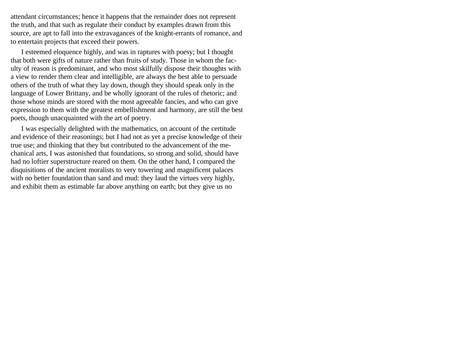attendant circumstances; hence it happens that the remainder does not represent the truth, and that such as regulate their conduct by examples drawn from this source, are apt to fall into the extravagances of the knight-errants of romance, and to entertain projects that exceed their powers.

I esteemed eloquence highly, and was in raptures with poesy; but I thought that both were gifts of nature rather than fruits of study. Those in whom the faculty of reason is predominant, and who most skilfully dispose their thoughts with a view to render them clear and intelligible, are always the best able to persuade others of the truth of what they lay down, though they should speak only in the language of Lower Brittany, and be wholly ignorant of the rules of rhetoric; and those whose minds are stored with the most agreeable fancies, and who can give expression to them with the greatest embellishment and harmony, are still the best poets, though unacquainted with the art of poetry.

I was especially delighted with the mathematics, on account of the certitude and evidence of their reasonings; but I had not as yet a precise knowledge of their true use; and thinking that they but contributed to the advancement of the mechanical arts, I was astonished that foundations, so strong and solid, should have had no loftier superstructure reared on them. On the other hand, I compared the disquisitions of the ancient moralists to very towering and magnificent palaces with no better foundation than sand and mud: they laud the virtues very highly, and exhibit them as estimable far above anything on earth; but they give us no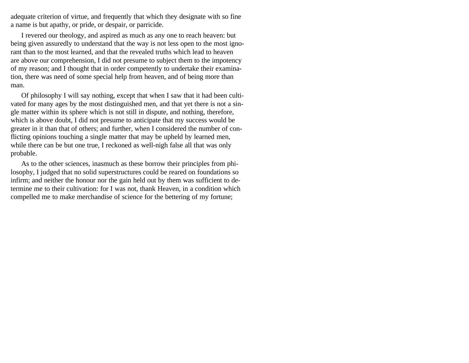adequate criterion of virtue, and frequently that which they designate with so fine a name is but apathy, or pride, or despair, or parricide.

I revered our theology, and aspired as much as any one to reach heaven: but being given assuredly to understand that the way is not less open to the most ignorant than to the most learned, and that the revealed truths which lead to heaven are above our comprehension, I did not presume to subject them to the impotency of my reason; and I thought that in order competently to undertake their examination, there was need of some special help from heaven, and of being more than man.

Of philosophy I will say nothing, except that when I saw that it had been cultivated for many ages by the most distinguished men, and that yet there is not a single matter within its sphere which is not still in dispute, and nothing, therefore, which is above doubt, I did not presume to anticipate that my success would be greater in it than that of others; and further, when I considered the number of conflicting opinions touching a single matter that may be upheld by learned men, while there can be but one true, I reckoned as well-nigh false all that was only probable.

As to the other sciences, inasmuch as these borrow their principles from philosophy, I judged that no solid superstructures could be reared on foundations so infirm; and neither the honour nor the gain held out by them was sufficient to determine me to their cultivation: for I was not, thank Heaven, in a condition which compelled me to make merchandise of science for the bettering of my fortune;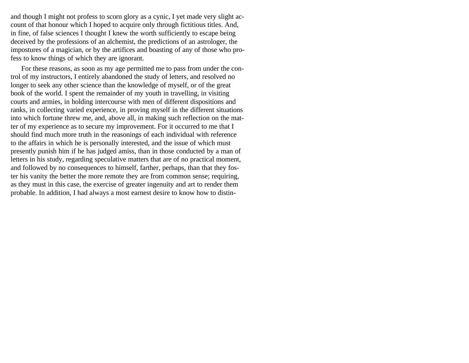and though I might not profess to scorn glory as a cynic, I yet made very slight account of that honour which I hoped to acquire only through fictitious titles. And, in fine, of false sciences I thought I knew the worth sufficiently to escape being deceived by the professions of an alchemist, the predictions of an astrologer, the impostures of a magician, or by the artifices and boasting of any of those who profess to know things of which they are ignorant.

For these reasons, as soon as my age permitted me to pass from under the control of my instructors, I entirely abandoned the study of letters, and resolved no longer to seek any other science than the knowledge of myself, or of the great book of the world. I spent the remainder of my youth in travelling, in visiting courts and armies, in holding intercourse with men of different dispositions and ranks, in collecting varied experience, in proving myself in the different situations into which fortune threw me, and, above all, in making such reflection on the matter of my experience as to secure my improvement. For it occurred to me that I should find much more truth in the reasonings of each individual with reference to the affairs in which he is personally interested, and the issue of which must presently punish him if he has judged amiss, than in those conducted by a man of letters in his study, regarding speculative matters that are of no practical moment, and followed by no consequences to himself, farther, perhaps, than that they foster his vanity the better the more remote they are from common sense; requiring, as they must in this case, the exercise of greater ingenuity and art to render them probable. In addition, I had always a most earnest desire to know how to distin-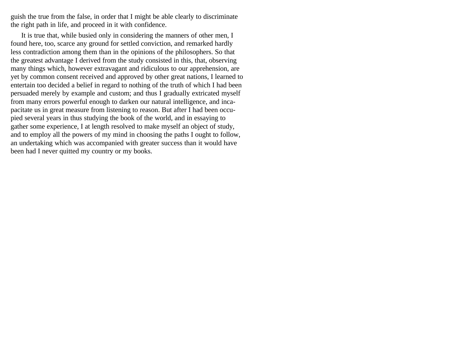guish the true from the false, in order that I might be able clearly to discriminate the right path in life, and proceed in it with confidence.

It is true that, while busied only in considering the manners of other men, I found here, too, scarce any ground for settled conviction, and remarked hardly less contradiction among them than in the opinions of the philosophers. So that the greatest advantage I derived from the study consisted in this, that, observing many things which, however extravagant and ridiculous to our apprehension, are yet by common consent received and approved by other great nations, I learned to entertain too decided a belief in regard to nothing of the truth of which I had been persuaded merely by example and custom; and thus I gradually extricated myself from many errors powerful enough to darken our natural intelligence, and incapacitate us in great measure from listening to reason. But after I had been occupied several years in thus studying the book of the world, and in essaying to gather some experience, I at length resolved to make myself an object of study, and to employ all the powers of my mind in choosing the paths I ought to follow, an undertaking which was accompanied with greater success than it would have been had I never quitted my country or my books.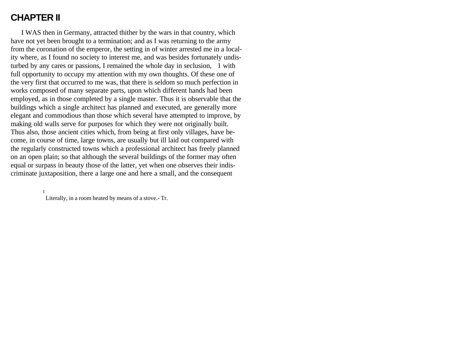### **CHAPTER II**

I WAS then in Germany, attracted thither by the wars in that country, which have not yet been brought to a termination; and as I was returning to the army from the coronation of the emperor, the setting in of winter arrested me in a locality where, as I found no society to interest me, and was besides fortunately undisturbed by any cares or passions, I remained the whole day in seclusion, 1 with full opportunity to occupy my attention with my own thoughts. Of these one of the very first that occurred to me was, that there is seldom so much perfection in works composed of many separate parts, upon which different hands had been employed, as in those completed by a single master. Thus it is observable that the buildings which a single architect has planned and executed, are generally more elegant and commodious than those which several have attempted to improve, by making old walls serve for purposes for which they were not originally built. Thus also, those ancient cities which, from being at first only villages, have become, in course of time, large towns, are usually but ill laid out compared with the regularly constructed towns which a professional architect has freely planned on an open plain; so that although the several buildings of the former may often equal or surpass in beauty those of the latter, yet when one observes their indiscriminate juxtaposition, there a large one and here a small, and the consequent

> 1 Literally, in a room heated by means of a stove.- Tr.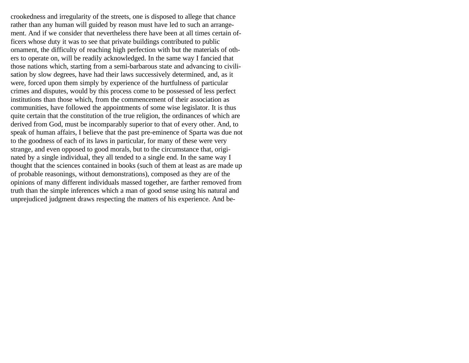crookedness and irregularity of the streets, one is disposed to allege that chance rather than any human will guided by reason must have led to such an arrangement. And if we consider that nevertheless there have been at all times certain officers whose duty it was to see that private buildings contributed to public ornament, the difficulty of reaching high perfection with but the materials of others to operate on, will be readily acknowledged. In the same way I fancied that those nations which, starting from a semi-barbarous state and advancing to civilisation by slow degrees, have had their laws successively determined, and, as it were, forced upon them simply by experience of the hurtfulness of particular crimes and disputes, would by this process come to be possessed of less perfect institutions than those which, from the commencement of their association as communities, have followed the appointments of some wise legislator. It is thus quite certain that the constitution of the true religion, the ordinances of which are derived from God, must be incomparably superior to that of every other. And, to speak of human affairs, I believe that the past pre-eminence of Sparta was due not to the goodness of each of its laws in particular, for many of these were very strange, and even opposed to good morals, but to the circumstance that, originated by a single individual, they all tended to a single end. In the same way I thought that the sciences contained in books (such of them at least as are made up of probable reasonings, without demonstrations), composed as they are of the opinions of many different individuals massed together, are farther removed from truth than the simple inferences which a man of good sense using his natural and unprejudiced judgment draws respecting the matters of his experience. And be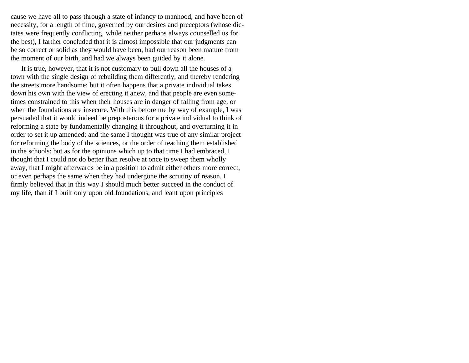cause we have all to pass through a state of infancy to manhood, and have been of necessity, for a length of time, governed by our desires and preceptors (whose dictates were frequently conflicting, while neither perhaps always counselled us for the best), I farther concluded that it is almost impossible that our judgments can be so correct or solid as they would have been, had our reason been mature from the moment of our birth, and had we always been guided by it alone.

It is true, however, that it is not customary to pull down all the houses of a town with the single design of rebuilding them differently, and thereby rendering the streets more handsome; but it often happens that a private individual takes down his own with the view of erecting it anew, and that people are even sometimes constrained to this when their houses are in danger of falling from age, or when the foundations are insecure. With this before me by way of example, I was persuaded that it would indeed be preposterous for a private individual to think of reforming a state by fundamentally changing it throughout, and overturning it in order to set it up amended; and the same I thought was true of any similar project for reforming the body of the sciences, or the order of teaching them established in the schools: but as for the opinions which up to that time I had embraced, I thought that I could not do better than resolve at once to sweep them wholly away, that I might afterwards be in a position to admit either others more correct, or even perhaps the same when they had undergone the scrutiny of reason. I firmly believed that in this way I should much better succeed in the conduct of my life, than if I built only upon old foundations, and leant upon principles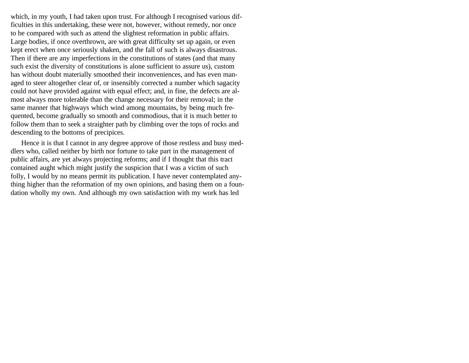which, in my youth, I had taken upon trust. For although I recognised various difficulties in this undertaking, these were not, however, without remedy, nor once to be compared with such as attend the slightest reformation in public affairs. Large bodies, if once overthrown, are with great difficulty set up again, or even kept erect when once seriously shaken, and the fall of such is always disastrous. Then if there are any imperfections in the constitutions of states (and that many such exist the diversity of constitutions is alone sufficient to assure us), custom has without doubt materially smoothed their inconveniences, and has even managed to steer altogether clear of, or insensibly corrected a number which sagacity could not have provided against with equal effect; and, in fine, the defects are almost always more tolerable than the change necessary for their removal; in the same manner that highways which wind among mountains, by being much frequented, become gradually so smooth and commodious, that it is much better to follow them than to seek a straighter path by climbing over the tops of rocks and descending to the bottoms of precipices.

Hence it is that I cannot in any degree approve of those restless and busy meddlers who, called neither by birth nor fortune to take part in the management of public affairs, are yet always projecting reforms; and if I thought that this tract contained aught which might justify the suspicion that I was a victim of such folly, I would by no means permit its publication. I have never contemplated anything higher than the reformation of my own opinions, and basing them on a foundation wholly my own. And although my own satisfaction with my work has led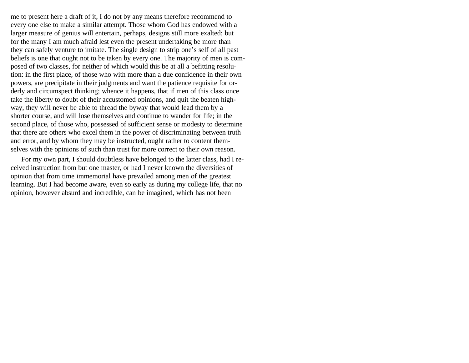me to present here a draft of it, I do not by any means therefore recommend to every one else to make a similar attempt. Those whom God has endowed with a larger measure of genius will entertain, perhaps, designs still more exalted; but for the many I am much afraid lest even the present undertaking be more than they can safely venture to imitate. The single design to strip one's self of all past beliefs is one that ought not to be taken by every one. The majority of men is composed of two classes, for neither of which would this be at all a befitting resolution: in the first place, of those who with more than a due confidence in their own powers, are precipitate in their judgments and want the patience requisite for orderly and circumspect thinking; whence it happens, that if men of this class once take the liberty to doubt of their accustomed opinions, and quit the beaten highway, they will never be able to thread the byway that would lead them by a shorter course, and will lose themselves and continue to wander for life; in the second place, of those who, possessed of sufficient sense or modesty to determine that there are others who excel them in the power of discriminating between truth and error, and by whom they may be instructed, ought rather to content themselves with the opinions of such than trust for more correct to their own reason.

For my own part, I should doubtless have belonged to the latter class, had I received instruction from but one master, or had I never known the diversities of opinion that from time immemorial have prevailed among men of the greatest learning. But I had become aware, even so early as during my college life, that no opinion, however absurd and incredible, can be imagined, which has not been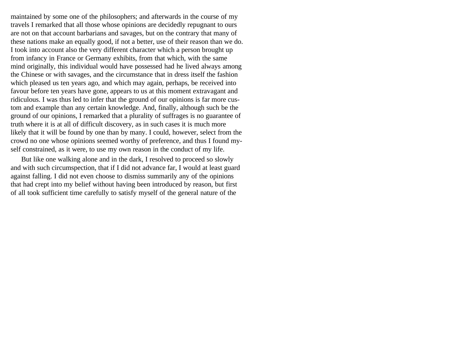maintained by some one of the philosophers; and afterwards in the course of my travels I remarked that all those whose opinions are decidedly repugnant to ours are not on that account barbarians and savages, but on the contrary that many of these nations make an equally good, if not a better, use of their reason than we do. I took into account also the very different character which a person brought up from infancy in France or Germany exhibits, from that which, with the same mind originally, this individual would have possessed had he lived always among the Chinese or with savages, and the circumstance that in dress itself the fashion which pleased us ten years ago, and which may again, perhaps, be received into favour before ten years have gone, appears to us at this moment extravagant and ridiculous. I was thus led to infer that the ground of our opinions is far more custom and example than any certain knowledge. And, finally, although such be the ground of our opinions, I remarked that a plurality of suffrages is no guarantee of truth where it is at all of difficult discovery, as in such cases it is much more likely that it will be found by one than by many. I could, however, select from the crowd no one whose opinions seemed worthy of preference, and thus I found myself constrained, as it were, to use my own reason in the conduct of my life.

But like one walking alone and in the dark, I resolved to proceed so slowly and with such circumspection, that if I did not advance far, I would at least guard against falling. I did not even choose to dismiss summarily any of the opinions that had crept into my belief without having been introduced by reason, but first of all took sufficient time carefully to satisfy myself of the general nature of the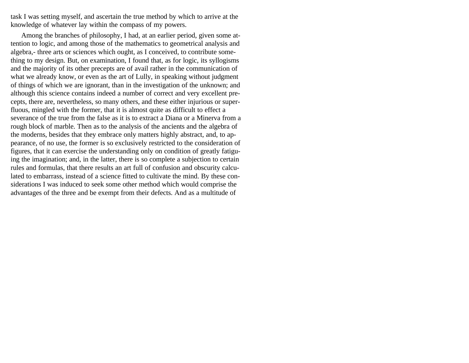task I was setting myself, and ascertain the true method by which to arrive at the knowledge of whatever lay within the compass of my powers.

Among the branches of philosophy, I had, at an earlier period, given some attention to logic, and among those of the mathematics to geometrical analysis and algebra,- three arts or sciences which ought, as I conceived, to contribute something to my design. But, on examination, I found that, as for logic, its syllogisms and the majority of its other precepts are of avail rather in the communication of what we already know, or even as the art of Lully, in speaking without judgment of things of which we are ignorant, than in the investigation of the unknown; and although this science contains indeed a number of correct and very excellent precepts, there are, nevertheless, so many others, and these either injurious or superfluous, mingled with the former, that it is almost quite as difficult to effect a severance of the true from the false as it is to extract a Diana or a Minerva from a rough block of marble. Then as to the analysis of the ancients and the algebra of the moderns, besides that they embrace only matters highly abstract, and, to appearance, of no use, the former is so exclusively restricted to the consideration of figures, that it can exercise the understanding only on condition of greatly fatiguing the imagination; and, in the latter, there is so complete a subjection to certain rules and formulas, that there results an art full of confusion and obscurity calculated to embarrass, instead of a science fitted to cultivate the mind. By these considerations I was induced to seek some other method which would comprise the advantages of the three and be exempt from their defects. And as a multitude of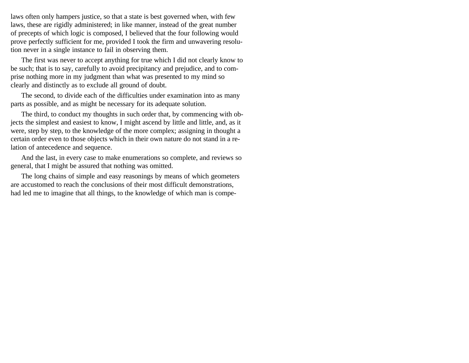laws often only hampers justice, so that a state is best governed when, with few laws, these are rigidly administered; in like manner, instead of the great number of precepts of which logic is composed, I believed that the four following would prove perfectly sufficient for me, provided I took the firm and unwavering resolution never in a single instance to fail in observing them.

The first was never to accept anything for true which I did not clearly know to be such; that is to say, carefully to avoid precipitancy and prejudice, and to comprise nothing more in my judgment than what was presented to my mind so clearly and distinctly as to exclude all ground of doubt.

The second, to divide each of the difficulties under examination into as many parts as possible, and as might be necessary for its adequate solution.

The third, to conduct my thoughts in such order that, by commencing with objects the simplest and easiest to know, I might ascend by little and little, and, as it were, step by step, to the knowledge of the more complex; assigning in thought a certain order even to those objects which in their own nature do not stand in a relation of antecedence and sequence.

And the last, in every case to make enumerations so complete, and reviews so general, that I might be assured that nothing was omitted.

The long chains of simple and easy reasonings by means of which geometers are accustomed to reach the conclusions of their most difficult demonstrations, had led me to imagine that all things, to the knowledge of which man is compe-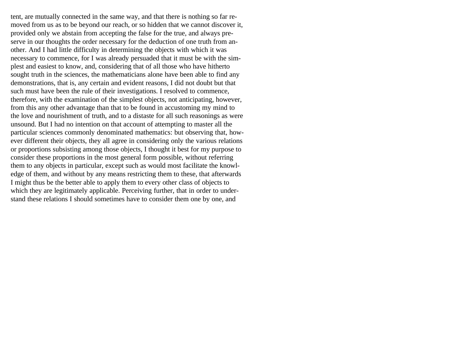tent, are mutually connected in the same way, and that there is nothing so far removed from us as to be beyond our reach, or so hidden that we cannot discover it, provided only we abstain from accepting the false for the true, and always preserve in our thoughts the order necessary for the deduction of one truth from another. And I had little difficulty in determining the objects with which it was necessary to commence, for I was already persuaded that it must be with the simplest and easiest to know, and, considering that of all those who have hitherto sought truth in the sciences, the mathematicians alone have been able to find any demonstrations, that is, any certain and evident reasons, I did not doubt but that such must have been the rule of their investigations. I resolved to commence, therefore, with the examination of the simplest objects, not anticipating, however, from this any other advantage than that to be found in accustoming my mind to the love and nourishment of truth, and to a distaste for all such reasonings as were unsound. But I had no intention on that account of attempting to master all the particular sciences commonly denominated mathematics: but observing that, however different their objects, they all agree in considering only the various relations or proportions subsisting among those objects, I thought it best for my purpose to consider these proportions in the most general form possible, without referring them to any objects in particular, except such as would most facilitate the knowledge of them, and without by any means restricting them to these, that afterwards I might thus be the better able to apply them to every other class of objects to which they are legitimately applicable. Perceiving further, that in order to understand these relations I should sometimes have to consider them one by one, and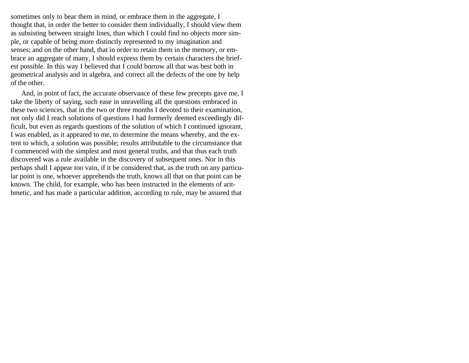sometimes only to bear them in mind, or embrace them in the aggregate, I thought that, in order the better to consider them individually, I should view them as subsisting between straight lines, than which I could find no objects more simple, or capable of being more distinctly represented to my imagination and senses; and on the other hand, that in order to retain them in the memory, or embrace an aggregate of many, I should express them by certain characters the briefest possible. In this way I believed that I could borrow all that was best both in geometrical analysis and in algebra, and correct all the defects of the one by help of the other.

And, in point of fact, the accurate observance of these few precepts gave me, I take the liberty of saying, such ease in unravelling all the questions embraced in these two sciences, that in the two or three months I devoted to their examination, not only did I reach solutions of questions I had formerly deemed exceedingly difficult, but even as regards questions of the solution of which I continued ignorant, I was enabled, as it appeared to me, to determine the means whereby, and the extent to which, a solution was possible; results attributable to the circumstance that I commenced with the simplest and most general truths, and that thus each truth discovered was a rule available in the discovery of subsequent ones. Nor in this perhaps shall I appear too vain, if it be considered that, as the truth on any particular point is one, whoever apprehends the truth, knows all that on that point can be known. The child, for example, who has been instructed in the elements of arithmetic, and has made a particular addition, according to rule, may be assured that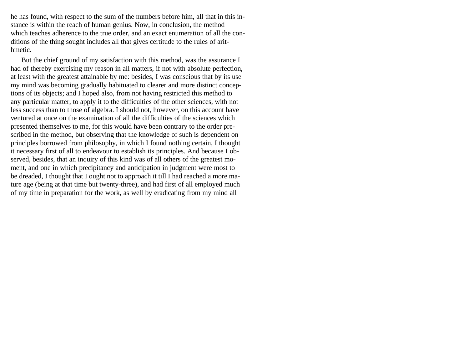he has found, with respect to the sum of the numbers before him, all that in this instance is within the reach of human genius. Now, in conclusion, the method which teaches adherence to the true order, and an exact enumeration of all the conditions of the thing sought includes all that gives certitude to the rules of arithmetic.

But the chief ground of my satisfaction with this method, was the assurance I had of thereby exercising my reason in all matters, if not with absolute perfection, at least with the greatest attainable by me: besides, I was conscious that by its use my mind was becoming gradually habituated to clearer and more distinct conceptions of its objects; and I hoped also, from not having restricted this method to any particular matter, to apply it to the difficulties of the other sciences, with not less success than to those of algebra. I should not, however, on this account have ventured at once on the examination of all the difficulties of the sciences which presented themselves to me, for this would have been contrary to the order prescribed in the method, but observing that the knowledge of such is dependent on principles borrowed from philosophy, in which I found nothing certain, I thought it necessary first of all to endeavour to establish its principles. And because I observed, besides, that an inquiry of this kind was of all others of the greatest moment, and one in which precipitancy and anticipation in judgment were most to be dreaded, I thought that I ought not to approach it till I had reached a more mature age (being at that time but twenty-three), and had first of all employed much of my time in preparation for the work, as well by eradicating from my mind all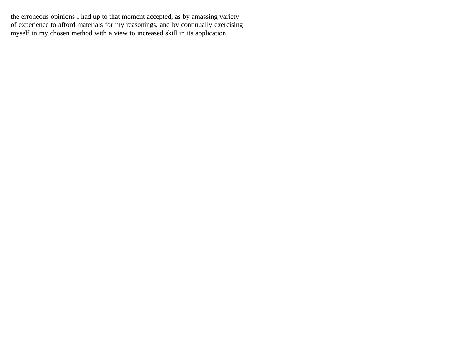the erroneous opinions I had up to that moment accepted, as by amassing variety of experience to afford materials for my reasonings, and by continually exercising myself in my chosen method with a view to increased skill in its application.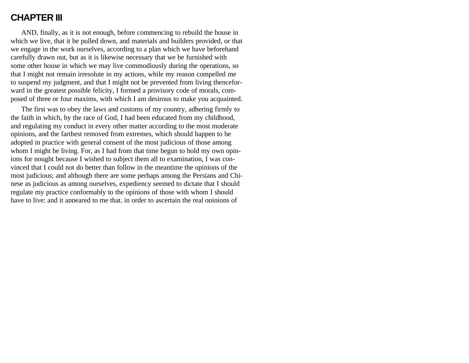### **CHAPTER III**

AND, finally, as it is not enough, before commencing to rebuild the house in which we live, that it be pulled down, and materials and builders provided, or that we engage in the work ourselves, according to a plan which we have beforehand carefully drawn out, but as it is likewise necessary that we be furnished with some other house in which we may live commodiously during the operations, so that I might not remain irresolute in my actions, while my reason compelled me to suspend my judgment, and that I might not be prevented from living thenceforward in the greatest possible felicity, I formed a provisory code of morals, composed of three or four maxims, with which I am desirous to make you acquainted.

The first was to obey the laws and customs of my country, adhering firmly to the faith in which, by the race of God, I had been educated from my childhood, and regulating my conduct in every other matter according to the most moderate opinions, and the farthest removed from extremes, which should happen to be adopted in practice with general consent of the most judicious of those among whom I might be living. For, as I had from that time begun to hold my own opinions for nought because I wished to subject them all to examination, I was convinced that I could not do better than follow in the meantime the opinions of the most judicious; and although there are some perhaps among the Persians and Chinese as judicious as among ourselves, expediency seemed to dictate that I should regulate my practice conformably to the opinions of those with whom I should have to live; and it appeared to me that, in order to ascertain the real opinions of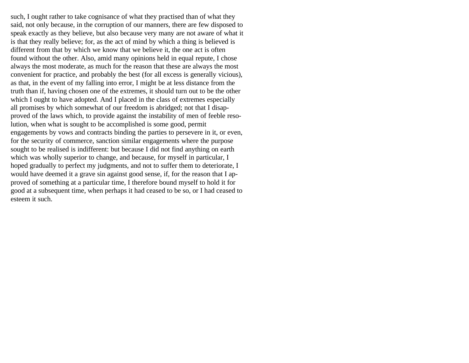such, I ought rather to take cognisance of what they practised than of what they said, not only because, in the corruption of our manners, there are few disposed to speak exactly as they believe, but also because very many are not aware of what it is that they really believe; for, as the act of mind by which a thing is believed is different from that by which we know that we believe it, the one act is often found without the other. Also, amid many opinions held in equal repute, I chose always the most moderate, as much for the reason that these are always the most convenient for practice, and probably the best (for all excess is generally vicious), as that, in the event of my falling into error, I might be at less distance from the truth than if, having chosen one of the extremes, it should turn out to be the other which I ought to have adopted. And I placed in the class of extremes especially all promises by which somewhat of our freedom is abridged; not that I disapproved of the laws which, to provide against the instability of men of feeble resolution, when what is sought to be accomplished is some good, permit engagements by vows and contracts binding the parties to persevere in it, or even, for the security of commerce, sanction similar engagements where the purpose sought to be realised is indifferent: but because I did not find anything on earth which was wholly superior to change, and because, for myself in particular, I hoped gradually to perfect my judgments, and not to suffer them to deteriorate, I would have deemed it a grave sin against good sense, if, for the reason that I approved of something at a particular time, I therefore bound myself to hold it for good at a subsequent time, when perhaps it had ceased to be so, or I had ceased to esteem it such.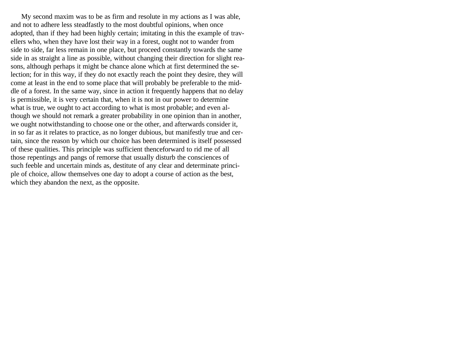My second maxim was to be as firm and resolute in my actions as I was able, and not to adhere less steadfastly to the most doubtful opinions, when once adopted, than if they had been highly certain; imitating in this the example of travellers who, when they have lost their way in a forest, ought not to wander from side to side, far less remain in one place, but proceed constantly towards the same side in as straight a line as possible, without changing their direction for slight reasons, although perhaps it might be chance alone which at first determined the selection; for in this way, if they do not exactly reach the point they desire, they will come at least in the end to some place that will probably be preferable to the middle of a forest. In the same way, since in action it frequently happens that no delay is permissible, it is very certain that, when it is not in our power to determine what is true, we ought to act according to what is most probable; and even although we should not remark a greater probability in one opinion than in another, we ought notwithstanding to choose one or the other, and afterwards consider it, in so far as it relates to practice, as no longer dubious, but manifestly true and certain, since the reason by which our choice has been determined is itself possessed of these qualities. This principle was sufficient thenceforward to rid me of all those repentings and pangs of remorse that usually disturb the consciences of such feeble and uncertain minds as, destitute of any clear and determinate principle of choice, allow themselves one day to adopt a course of action as the best, which they abandon the next, as the opposite.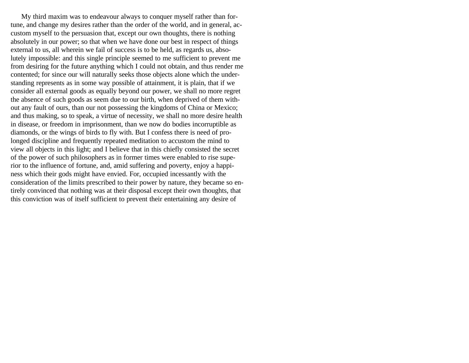My third maxim was to endeavour always to conquer myself rather than fortune, and change my desires rather than the order of the world, and in general, accustom myself to the persuasion that, except our own thoughts, there is nothing absolutely in our power; so that when we have done our best in respect of things external to us, all wherein we fail of success is to be held, as regards us, absolutely impossible: and this single principle seemed to me sufficient to prevent me from desiring for the future anything which I could not obtain, and thus render me contented; for since our will naturally seeks those objects alone which the understanding represents as in some way possible of attainment, it is plain, that if we consider all external goods as equally beyond our power, we shall no more regret the absence of such goods as seem due to our birth, when deprived of them without any fault of ours, than our not possessing the kingdoms of China or Mexico; and thus making, so to speak, a virtue of necessity, we shall no more desire health in disease, or freedom in imprisonment, than we now do bodies incorruptible as diamonds, or the wings of birds to fly with. But I confess there is need of prolonged discipline and frequently repeated meditation to accustom the mind to view all objects in this light; and I believe that in this chiefly consisted the secret of the power of such philosophers as in former times were enabled to rise superior to the influence of fortune, and, amid suffering and poverty, enjoy a happiness which their gods might have envied. For, occupied incessantly with the consideration of the limits prescribed to their power by nature, they became so entirely convinced that nothing was at their disposal except their own thoughts, that this conviction was of itself sufficient to prevent their entertaining any desire of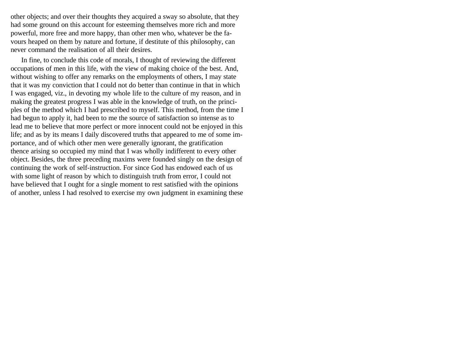other objects; and over their thoughts they acquired a sway so absolute, that they had some ground on this account for esteeming themselves more rich and more powerful, more free and more happy, than other men who, whatever be the favours heaped on them by nature and fortune, if destitute of this philosophy, can never command the realisation of all their desires.

In fine, to conclude this code of morals, I thought of reviewing the different occupations of men in this life, with the view of making choice of the best. And, without wishing to offer any remarks on the employments of others, I may state that it was my conviction that I could not do better than continue in that in which I was engaged, viz., in devoting my whole life to the culture of my reason, and in making the greatest progress I was able in the knowledge of truth, on the principles of the method which I had prescribed to myself. This method, from the time I had begun to apply it, had been to me the source of satisfaction so intense as to lead me to believe that more perfect or more innocent could not be enjoyed in this life; and as by its means I daily discovered truths that appeared to me of some importance, and of which other men were generally ignorant, the gratification thence arising so occupied my mind that I was wholly indifferent to every other object. Besides, the three preceding maxims were founded singly on the design of continuing the work of self-instruction. For since God has endowed each of us with some light of reason by which to distinguish truth from error, I could not have believed that I ought for a single moment to rest satisfied with the opinions of another, unless I had resolved to exercise my own judgment in examining these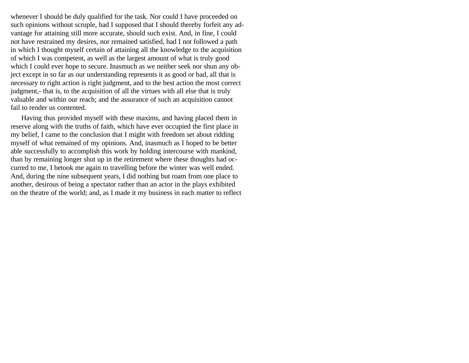whenever I should be duly qualified for the task. Nor could I have proceeded on such opinions without scruple, had I supposed that I should thereby forfeit any advantage for attaining still more accurate, should such exist. And, in fine, I could not have restrained my desires, nor remained satisfied, had I not followed a path in which I thought myself certain of attaining all the knowledge to the acquisition of which I was competent, as well as the largest amount of what is truly good which I could ever hope to secure. Inasmuch as we neither seek nor shun any object except in so far as our understanding represents it as good or bad, all that is necessary to right action is right judgment, and to the best action the most correct judgment,- that is, to the acquisition of all the virtues with all else that is truly valuable and within our reach; and the assurance of such an acquisition cannot fail to render us contented.

Having thus provided myself with these maxims, and having placed them in reserve along with the truths of faith, which have ever occupied the first place in my belief, I came to the conclusion that I might with freedom set about ridding myself of what remained of my opinions. And, inasmuch as I hoped to be better able successfully to accomplish this work by holding intercourse with mankind, than by remaining longer shut up in the retirement where these thoughts had occurred to me, I betook me again to travelling before the winter was well ended. And, during the nine subsequent years, I did nothing but roam from one place to another, desirous of being a spectator rather than an actor in the plays exhibited on the theatre of the world; and, as I made it my business in each matter to reflect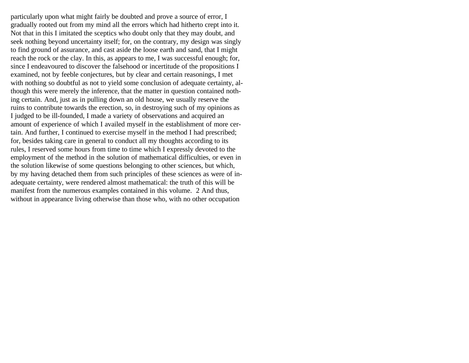particularly upon what might fairly be doubted and prove a source of error, I gradually rooted out from my mind all the errors which had hitherto crept into it. Not that in this I imitated the sceptics who doubt only that they may doubt, and seek nothing beyond uncertainty itself; for, on the contrary, my design was singly to find ground of assurance, and cast aside the loose earth and sand, that I might reach the rock or the clay. In this, as appears to me, I was successful enough; for, since I endeavoured to discover the falsehood or incertitude of the propositions I examined, not by feeble conjectures, but by clear and certain reasonings, I met with nothing so doubtful as not to yield some conclusion of adequate certainty, although this were merely the inference, that the matter in question contained nothing certain. And, just as in pulling down an old house, we usually reserve the ruins to contribute towards the erection, so, in destroying such of my opinions as I judged to be ill-founded, I made a variety of observations and acquired an amount of experience of which I availed myself in the establishment of more certain. And further, I continued to exercise myself in the method I had prescribed; for, besides taking care in general to conduct all my thoughts according to its rules, I reserved some hours from time to time which I expressly devoted to the employment of the method in the solution of mathematical difficulties, or even in the solution likewise of some questions belonging to other sciences, but which, by my having detached them from such principles of these sciences as were of inadequate certainty, were rendered almost mathematical: the truth of this will be manifest from the numerous examples contained in this volume. 2 And thus, without in appearance living otherwise than those who, with no other occupation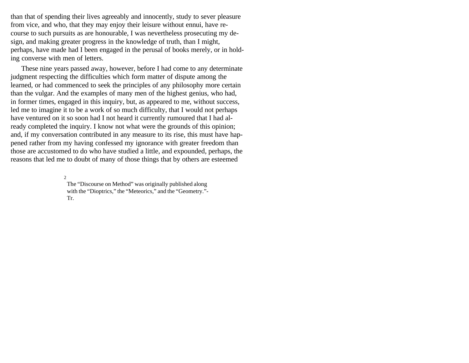than that of spending their lives agreeably and innocently, study to sever pleasure from vice, and who, that they may enjoy their leisure without ennui, have recourse to such pursuits as are honourable, I was nevertheless prosecuting my design, and making greater progress in the knowledge of truth, than I might, perhaps, have made had I been engaged in the perusal of books merely, or in holding converse with men of letters.

These nine years passed away, however, before I had come to any determinate judgment respecting the difficulties which form matter of dispute among the learned, or had commenced to seek the principles of any philosophy more certain than the vulgar. And the examples of many men of the highest genius, who had, in former times, engaged in this inquiry, but, as appeared to me, without success, led me to imagine it to be a work of so much difficulty, that I would not perhaps have ventured on it so soon had I not heard it currently rumoured that I had already completed the inquiry. I know not what were the grounds of this opinion; and, if my conversation contributed in any measure to its rise, this must have happened rather from my having confessed my ignorance with greater freedom than those are accustomed to do who have studied a little, and expounded, perhaps, the reasons that led me to doubt of many of those things that by others are esteemed

2

The "Discourse on Method" was originally published along with the "Dioptrics," the "Meteorics," and the "Geometry."- Tr.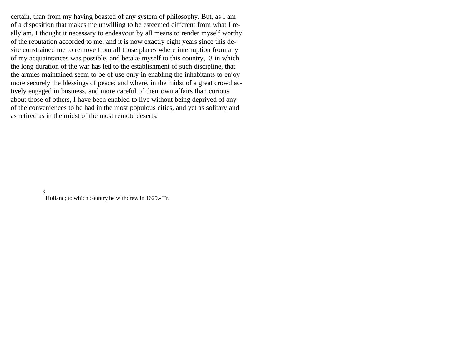certain, than from my having boasted of any system of philosophy. But, as I am of a disposition that makes me unwilling to be esteemed different from what I really am, I thought it necessary to endeavour by all means to render myself worthy of the reputation accorded to me; and it is now exactly eight years since this desire constrained me to remove from all those places where interruption from any of my acquaintances was possible, and betake myself to this country, 3 in which the long duration of the war has led to the establishment of such discipline, that the armies maintained seem to be of use only in enabling the inhabitants to enjoy more securely the blessings of peace; and where, in the midst of a great crowd actively engaged in business, and more careful of their own affairs than curious about those of others, I have been enabled to live without being deprived of any of the conveniences to be had in the most populous cities, and yet as solitary and as retired as in the midst of the most remote deserts.

#### 3

Holland; to which country he withdrew in 1629.- Tr.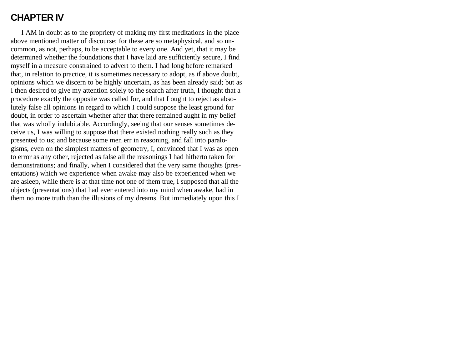## **CHAPTER IV**

I AM in doubt as to the propriety of making my first meditations in the place above mentioned matter of discourse; for these are so metaphysical, and so uncommon, as not, perhaps, to be acceptable to every one. And yet, that it may be determined whether the foundations that I have laid are sufficiently secure, I find myself in a measure constrained to advert to them. I had long before remarked that, in relation to practice, it is sometimes necessary to adopt, as if above doubt, opinions which we discern to be highly uncertain, as has been already said; but as I then desired to give my attention solely to the search after truth, I thought that a procedure exactly the opposite was called for, and that I ought to reject as absolutely false all opinions in regard to which I could suppose the least ground for doubt, in order to ascertain whether after that there remained aught in my belief that was wholly indubitable. Accordingly, seeing that our senses sometimes deceive us, I was willing to suppose that there existed nothing really such as they presented to us; and because some men err in reasoning, and fall into paralogisms, even on the simplest matters of geometry, I, convinced that I was as open to error as any other, rejected as false all the reasonings I had hitherto taken for demonstrations; and finally, when I considered that the very same thoughts (presentations) which we experience when awake may also be experienced when we are asleep, while there is at that time not one of them true, I supposed that all the objects (presentations) that had ever entered into my mind when awake, had in them no more truth than the illusions of my dreams. But immediately upon this I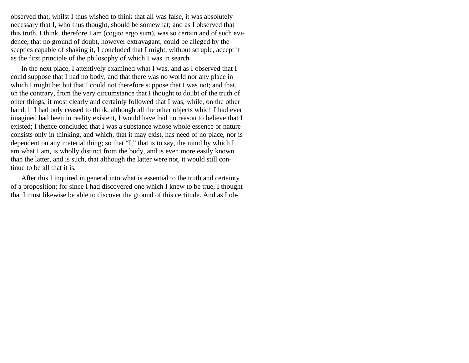observed that, whilst I thus wished to think that all was false, it was absolutely necessary that I, who thus thought, should be somewhat; and as I observed that this truth, I think, therefore I am (cogito ergo sum), was so certain and of such evidence, that no ground of doubt, however extravagant, could be alleged by the sceptics capable of shaking it, I concluded that I might, without scruple, accept it as the first principle of the philosophy of which I was in search.

In the next place, I attentively examined what I was, and as I observed that I could suppose that I had no body, and that there was no world nor any place in which I might be; but that I could not therefore suppose that I was not; and that, on the contrary, from the very circumstance that I thought to doubt of the truth of other things, it most clearly and certainly followed that I was; while, on the other hand, if I had only ceased to think, although all the other objects which I had ever imagined had been in reality existent, I would have had no reason to believe that I existed; I thence concluded that I was a substance whose whole essence or nature consists only in thinking, and which, that it may exist, has need of no place, nor is dependent on any material thing; so that "I," that is to say, the mind by which I am what I am, is wholly distinct from the body, and is even more easily known than the latter, and is such, that although the latter were not, it would still continue to be all that it is.

After this I inquired in general into what is essential to the truth and certainty of a proposition; for since I had discovered one which I knew to be true, I thought that I must likewise be able to discover the ground of this certitude. And as I ob-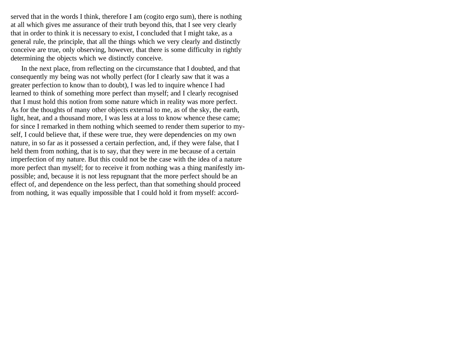served that in the words I think, therefore I am (cogito ergo sum), there is nothing at all which gives me assurance of their truth beyond this, that I see very clearly that in order to think it is necessary to exist, I concluded that I might take, as a general rule, the principle, that all the things which we very clearly and distinctly conceive are true, only observing, however, that there is some difficulty in rightly determining the objects which we distinctly conceive.

In the next place, from reflecting on the circumstance that I doubted, and that consequently my being was not wholly perfect (for I clearly saw that it was a greater perfection to know than to doubt), I was led to inquire whence I had learned to think of something more perfect than myself; and I clearly recognised that I must hold this notion from some nature which in reality was more perfect. As for the thoughts of many other objects external to me, as of the sky, the earth, light, heat, and a thousand more, I was less at a loss to know whence these came; for since I remarked in them nothing which seemed to render them superior to myself, I could believe that, if these were true, they were dependencies on my own nature, in so far as it possessed a certain perfection, and, if they were false, that I held them from nothing, that is to say, that they were in me because of a certain imperfection of my nature. But this could not be the case with the idea of a nature more perfect than myself; for to receive it from nothing was a thing manifestly impossible; and, because it is not less repugnant that the more perfect should be an effect of, and dependence on the less perfect, than that something should proceed from nothing, it was equally impossible that I could hold it from myself: accord-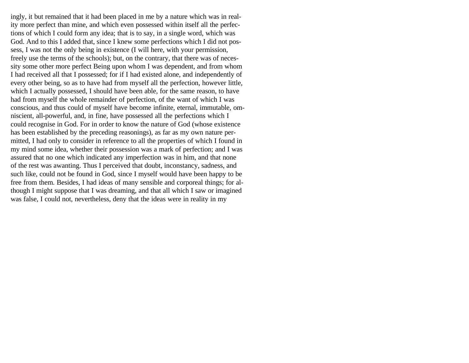ingly, it but remained that it had been placed in me by a nature which was in reality more perfect than mine, and which even possessed within itself all the perfections of which I could form any idea; that is to say, in a single word, which was God. And to this I added that, since I knew some perfections which I did not possess, I was not the only being in existence (I will here, with your permission, freely use the terms of the schools); but, on the contrary, that there was of necessity some other more perfect Being upon whom I was dependent, and from whom I had received all that I possessed; for if I had existed alone, and independently of every other being, so as to have had from myself all the perfection, however little, which I actually possessed, I should have been able, for the same reason, to have had from myself the whole remainder of perfection, of the want of which I was conscious, and thus could of myself have become infinite, eternal, immutable, omniscient, all-powerful, and, in fine, have possessed all the perfections which I could recognise in God. For in order to know the nature of God (whose existence has been established by the preceding reasonings), as far as my own nature permitted, I had only to consider in reference to all the properties of which I found in my mind some idea, whether their possession was a mark of perfection; and I was assured that no one which indicated any imperfection was in him, and that none of the rest was awanting. Thus I perceived that doubt, inconstancy, sadness, and such like, could not be found in God, since I myself would have been happy to be free from them. Besides, I had ideas of many sensible and corporeal things; for although I might suppose that I was dreaming, and that all which I saw or imagined was false, I could not, nevertheless, deny that the ideas were in reality in my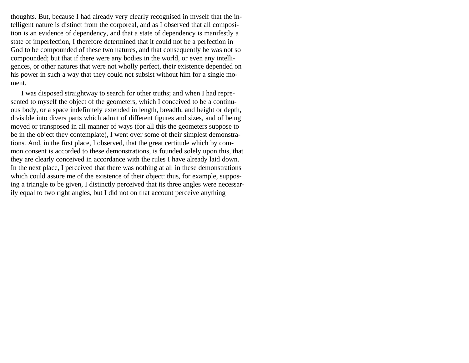thoughts. But, because I had already very clearly recognised in myself that the intelligent nature is distinct from the corporeal, and as I observed that all composition is an evidence of dependency, and that a state of dependency is manifestly a state of imperfection, I therefore determined that it could not be a perfection in God to be compounded of these two natures, and that consequently he was not so compounded; but that if there were any bodies in the world, or even any intelligences, or other natures that were not wholly perfect, their existence depended on his power in such a way that they could not subsist without him for a single moment.

I was disposed straightway to search for other truths; and when I had represented to myself the object of the geometers, which I conceived to be a continuous body, or a space indefinitely extended in length, breadth, and height or depth, divisible into divers parts which admit of different figures and sizes, and of being moved or transposed in all manner of ways (for all this the geometers suppose to be in the object they contemplate), I went over some of their simplest demonstrations. And, in the first place, I observed, that the great certitude which by common consent is accorded to these demonstrations, is founded solely upon this, that they are clearly conceived in accordance with the rules I have already laid down. In the next place, I perceived that there was nothing at all in these demonstrations which could assure me of the existence of their object: thus, for example, supposing a triangle to be given, I distinctly perceived that its three angles were necessarily equal to two right angles, but I did not on that account perceive anything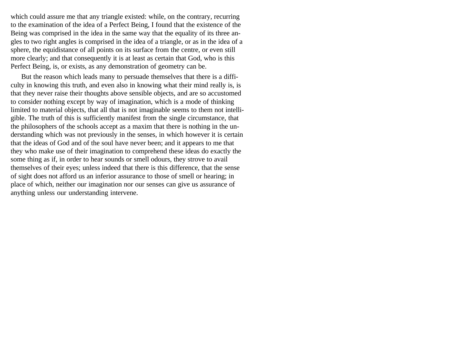which could assure me that any triangle existed: while, on the contrary, recurring to the examination of the idea of a Perfect Being, I found that the existence of the Being was comprised in the idea in the same way that the equality of its three angles to two right angles is comprised in the idea of a triangle, or as in the idea of a sphere, the equidistance of all points on its surface from the centre, or even still more clearly; and that consequently it is at least as certain that God, who is this Perfect Being, is, or exists, as any demonstration of geometry can be.

But the reason which leads many to persuade themselves that there is a difficulty in knowing this truth, and even also in knowing what their mind really is, is that they never raise their thoughts above sensible objects, and are so accustomed to consider nothing except by way of imagination, which is a mode of thinking limited to material objects, that all that is not imaginable seems to them not intelligible. The truth of this is sufficiently manifest from the single circumstance, that the philosophers of the schools accept as a maxim that there is nothing in the understanding which was not previously in the senses, in which however it is certain that the ideas of God and of the soul have never been; and it appears to me that they who make use of their imagination to comprehend these ideas do exactly the some thing as if, in order to hear sounds or smell odours, they strove to avail themselves of their eyes; unless indeed that there is this difference, that the sense of sight does not afford us an inferior assurance to those of smell or hearing; in place of which, neither our imagination nor our senses can give us assurance of anything unless our understanding intervene.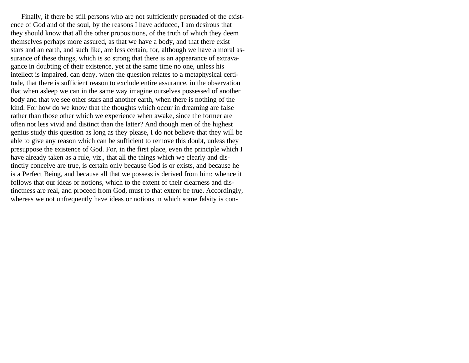Finally, if there be still persons who are not sufficiently persuaded of the existence of God and of the soul, by the reasons I have adduced, I am desirous that they should know that all the other propositions, of the truth of which they deem themselves perhaps more assured, as that we have a body, and that there exist stars and an earth, and such like, are less certain; for, although we have a moral assurance of these things, which is so strong that there is an appearance of extravagance in doubting of their existence, yet at the same time no one, unless his intellect is impaired, can deny, when the question relates to a metaphysical certitude, that there is sufficient reason to exclude entire assurance, in the observation that when asleep we can in the same way imagine ourselves possessed of another body and that we see other stars and another earth, when there is nothing of the kind. For how do we know that the thoughts which occur in dreaming are false rather than those other which we experience when awake, since the former are often not less vivid and distinct than the latter? And though men of the highest genius study this question as long as they please, I do not believe that they will be able to give any reason which can be sufficient to remove this doubt, unless they presuppose the existence of God. For, in the first place, even the principle which I have already taken as a rule, viz., that all the things which we clearly and distinctly conceive are true, is certain only because God is or exists, and because he is a Perfect Being, and because all that we possess is derived from him: whence it follows that our ideas or notions, which to the extent of their clearness and distinctness are real, and proceed from God, must to that extent be true. Accordingly, whereas we not unfrequently have ideas or notions in which some falsity is con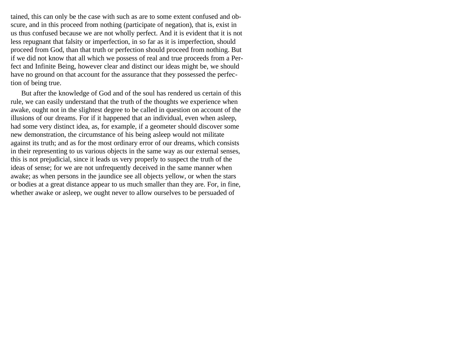tained, this can only be the case with such as are to some extent confused and obscure, and in this proceed from nothing (participate of negation), that is, exist in us thus confused because we are not wholly perfect. And it is evident that it is not less repugnant that falsity or imperfection, in so far as it is imperfection, should proceed from God, than that truth or perfection should proceed from nothing. But if we did not know that all which we possess of real and true proceeds from a Perfect and Infinite Being, however clear and distinct our ideas might be, we should have no ground on that account for the assurance that they possessed the perfection of being true.

But after the knowledge of God and of the soul has rendered us certain of this rule, we can easily understand that the truth of the thoughts we experience when awake, ought not in the slightest degree to be called in question on account of the illusions of our dreams. For if it happened that an individual, even when asleep, had some very distinct idea, as, for example, if a geometer should discover some new demonstration, the circumstance of his being asleep would not militate against its truth; and as for the most ordinary error of our dreams, which consists in their representing to us various objects in the same way as our external senses, this is not prejudicial, since it leads us very properly to suspect the truth of the ideas of sense; for we are not unfrequently deceived in the same manner when awake; as when persons in the jaundice see all objects yellow, or when the stars or bodies at a great distance appear to us much smaller than they are. For, in fine, whether awake or asleep, we ought never to allow ourselves to be persuaded of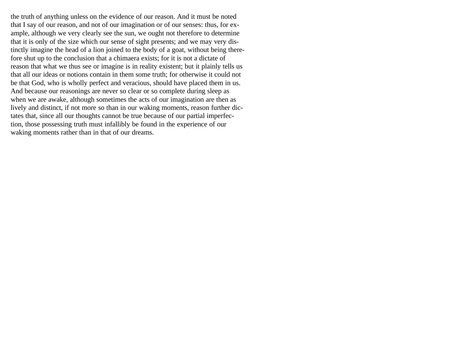the truth of anything unless on the evidence of our reason. And it must be noted that I say of our reason, and not of our imagination or of our senses: thus, for example, although we very clearly see the sun, we ought not therefore to determine that it is only of the size which our sense of sight presents; and we may very distinctly imagine the head of a lion joined to the body of a goat, without being therefore shut up to the conclusion that a chimaera exists; for it is not a dictate of reason that what we thus see or imagine is in reality existent; but it plainly tells us that all our ideas or notions contain in them some truth; for otherwise it could not be that God, who is wholly perfect and veracious, should have placed them in us. And because our reasonings are never so clear or so complete during sleep as when we are awake, although sometimes the acts of our imagination are then as lively and distinct, if not more so than in our waking moments, reason further dictates that, since all our thoughts cannot be true because of our partial imperfection, those possessing truth must infallibly be found in the experience of our waking moments rather than in that of our dreams.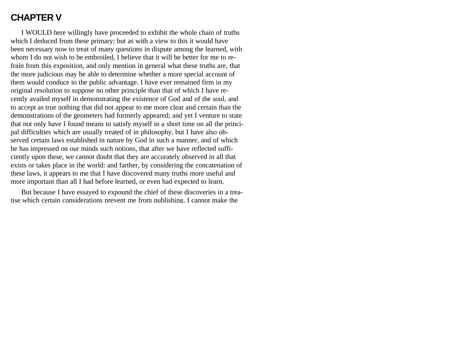## **CHAPTER V**

I WOULD here willingly have proceeded to exhibit the whole chain of truths which I deduced from these primary; but as with a view to this it would have been necessary now to treat of many questions in dispute among the learned, with whom I do not wish to be embroiled, I believe that it will be better for me to refrain from this exposition, and only mention in general what these truths are, that the more judicious may be able to determine whether a more special account of them would conduce to the public advantage. I have ever remained firm in my original resolution to suppose no other principle than that of which I have recently availed myself in demonstrating the existence of God and of the soul, and to accept as true nothing that did not appear to me more clear and certain than the demonstrations of the geometers had formerly appeared; and yet I venture to state that not only have I found means to satisfy myself in a short time on all the principal difficulties which are usually treated of in philosophy, but I have also observed certain laws established in nature by God in such a manner, and of which he has impressed on our minds such notions, that after we have reflected sufficiently upon these, we cannot doubt that they are accurately observed in all that exists or takes place in the world: and farther, by considering the concatenation of these laws, it appears to me that I have discovered many truths more useful and more important than all I had before learned, or even had expected to learn.

But because I have essayed to expound the chief of these discoveries in a treatise which certain considerations prevent me from publishing, I cannot make the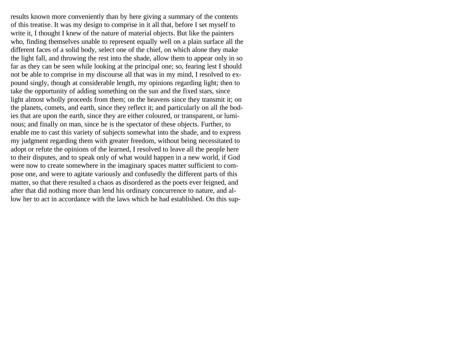results known more conveniently than by here giving a summary of the contents of this treatise. It was my design to comprise in it all that, before I set myself to write it, I thought I knew of the nature of material objects. But like the painters who, finding themselves unable to represent equally well on a plain surface all the different faces of a solid body, select one of the chief, on which alone they make the light fall, and throwing the rest into the shade, allow them to appear only in so far as they can be seen while looking at the principal one; so, fearing lest I should not be able to comprise in my discourse all that was in my mind, I resolved to expound singly, though at considerable length, my opinions regarding light; then to take the opportunity of adding something on the sun and the fixed stars, since light almost wholly proceeds from them; on the heavens since they transmit it; on the planets, comets, and earth, since they reflect it; and particularly on all the bodies that are upon the earth, since they are either coloured, or transparent, or luminous; and finally on man, since he is the spectator of these objects. Further, to enable me to cast this variety of subjects somewhat into the shade, and to express my judgment regarding them with greater freedom, without being necessitated to adopt or refute the opinions of the learned, I resolved to leave all the people here to their disputes, and to speak only of what would happen in a new world, if God were now to create somewhere in the imaginary spaces matter sufficient to compose one, and were to agitate variously and confusedly the different parts of this matter, so that there resulted a chaos as disordered as the poets ever feigned, and after that did nothing more than lend his ordinary concurrence to nature, and allow her to act in accordance with the laws which he had established. On this sup-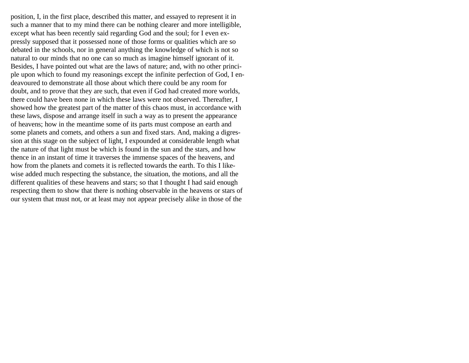position, I, in the first place, described this matter, and essayed to represent it in such a manner that to my mind there can be nothing clearer and more intelligible, except what has been recently said regarding God and the soul; for I even expressly supposed that it possessed none of those forms or qualities which are so debated in the schools, nor in general anything the knowledge of which is not so natural to our minds that no one can so much as imagine himself ignorant of it. Besides, I have pointed out what are the laws of nature; and, with no other principle upon which to found my reasonings except the infinite perfection of God, I endeavoured to demonstrate all those about which there could be any room for doubt, and to prove that they are such, that even if God had created more worlds, there could have been none in which these laws were not observed. Thereafter, I showed how the greatest part of the matter of this chaos must, in accordance with these laws, dispose and arrange itself in such a way as to present the appearance of heavens; how in the meantime some of its parts must compose an earth and some planets and comets, and others a sun and fixed stars. And, making a digression at this stage on the subject of light, I expounded at considerable length what the nature of that light must be which is found in the sun and the stars, and how thence in an instant of time it traverses the immense spaces of the heavens, and how from the planets and comets it is reflected towards the earth. To this I likewise added much respecting the substance, the situation, the motions, and all the different qualities of these heavens and stars; so that I thought I had said enough respecting them to show that there is nothing observable in the heavens or stars of our system that must not, or at least may not appear precisely alike in those of the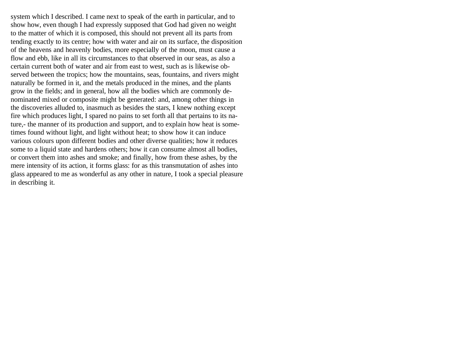system which I described. I came next to speak of the earth in particular, and to show how, even though I had expressly supposed that God had given no weight to the matter of which it is composed, this should not prevent all its parts from tending exactly to its centre; how with water and air on its surface, the disposition of the heavens and heavenly bodies, more especially of the moon, must cause a flow and ebb, like in all its circumstances to that observed in our seas, as also a certain current both of water and air from east to west, such as is likewise observed between the tropics; how the mountains, seas, fountains, and rivers might naturally be formed in it, and the metals produced in the mines, and the plants grow in the fields; and in general, how all the bodies which are commonly denominated mixed or composite might be generated: and, among other things in the discoveries alluded to, inasmuch as besides the stars, I knew nothing except fire which produces light, I spared no pains to set forth all that pertains to its nature,- the manner of its production and support, and to explain how heat is sometimes found without light, and light without heat; to show how it can induce various colours upon different bodies and other diverse qualities; how it reduces some to a liquid state and hardens others; how it can consume almost all bodies, or convert them into ashes and smoke; and finally, how from these ashes, by the mere intensity of its action, it forms glass: for as this transmutation of ashes into glass appeared to me as wonderful as any other in nature, I took a special pleasure in describing it.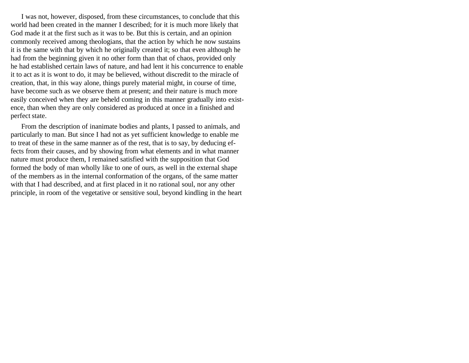I was not, however, disposed, from these circumstances, to conclude that this world had been created in the manner I described; for it is much more likely that God made it at the first such as it was to be. But this is certain, and an opinion commonly received among theologians, that the action by which he now sustains it is the same with that by which he originally created it; so that even although he had from the beginning given it no other form than that of chaos, provided only he had established certain laws of nature, and had lent it his concurrence to enable it to act as it is wont to do, it may be believed, without discredit to the miracle of creation, that, in this way alone, things purely material might, in course of time, have become such as we observe them at present; and their nature is much more easily conceived when they are beheld coming in this manner gradually into existence, than when they are only considered as produced at once in a finished and perfect state.

From the description of inanimate bodies and plants, I passed to animals, and particularly to man. But since I had not as yet sufficient knowledge to enable me to treat of these in the same manner as of the rest, that is to say, by deducing effects from their causes, and by showing from what elements and in what manner nature must produce them, I remained satisfied with the supposition that God formed the body of man wholly like to one of ours, as well in the external shape of the members as in the internal conformation of the organs, of the same matter with that I had described, and at first placed in it no rational soul, nor any other principle, in room of the vegetative or sensitive soul, beyond kindling in the heart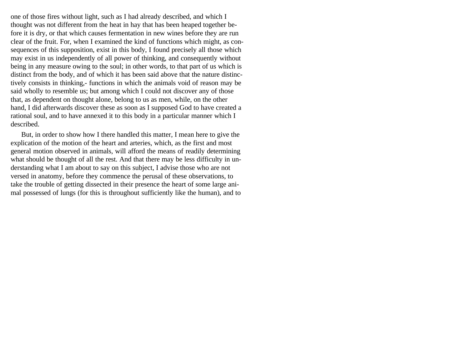one of those fires without light, such as I had already described, and which I thought was not different from the heat in hay that has been heaped together before it is dry, or that which causes fermentation in new wines before they are run clear of the fruit. For, when I examined the kind of functions which might, as consequences of this supposition, exist in this body, I found precisely all those which may exist in us independently of all power of thinking, and consequently without being in any measure owing to the soul; in other words, to that part of us which is distinct from the body, and of which it has been said above that the nature distinctively consists in thinking,- functions in which the animals void of reason may be said wholly to resemble us; but among which I could not discover any of those that, as dependent on thought alone, belong to us as men, while, on the other hand, I did afterwards discover these as soon as I supposed God to have created a rational soul, and to have annexed it to this body in a particular manner which I described.

But, in order to show how I there handled this matter, I mean here to give the explication of the motion of the heart and arteries, which, as the first and most general motion observed in animals, will afford the means of readily determining what should be thought of all the rest. And that there may be less difficulty in understanding what I am about to say on this subject, I advise those who are not versed in anatomy, before they commence the perusal of these observations, to take the trouble of getting dissected in their presence the heart of some large animal possessed of lungs (for this is throughout sufficiently like the human), and to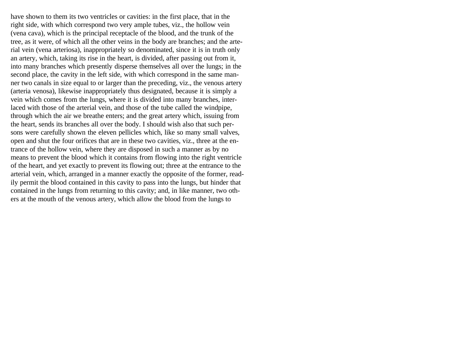have shown to them its two ventricles or cavities: in the first place, that in the right side, with which correspond two very ample tubes, viz., the hollow vein (vena cava), which is the principal receptacle of the blood, and the trunk of the tree, as it were, of which all the other veins in the body are branches; and the arterial vein (vena arteriosa), inappropriately so denominated, since it is in truth only an artery, which, taking its rise in the heart, is divided, after passing out from it, into many branches which presently disperse themselves all over the lungs; in the second place, the cavity in the left side, with which correspond in the same manner two canals in size equal to or larger than the preceding, viz., the venous artery (arteria venosa), likewise inappropriately thus designated, because it is simply a vein which comes from the lungs, where it is divided into many branches, interlaced with those of the arterial vein, and those of the tube called the windpipe, through which the air we breathe enters; and the great artery which, issuing from the heart, sends its branches all over the body. I should wish also that such persons were carefully shown the eleven pellicles which, like so many small valves, open and shut the four orifices that are in these two cavities, viz., three at the entrance of the hollow vein, where they are disposed in such a manner as by no means to prevent the blood which it contains from flowing into the right ventricle of the heart, and yet exactly to prevent its flowing out; three at the entrance to the arterial vein, which, arranged in a manner exactly the opposite of the former, readily permit the blood contained in this cavity to pass into the lungs, but hinder that contained in the lungs from returning to this cavity; and, in like manner, two others at the mouth of the venous artery, which allow the blood from the lungs to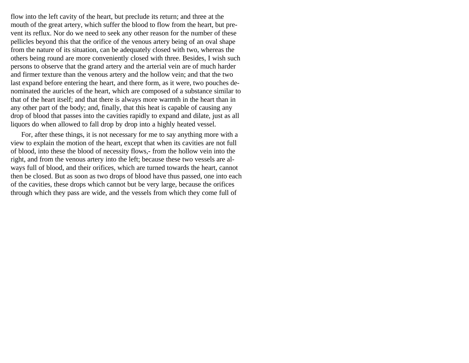flow into the left cavity of the heart, but preclude its return; and three at the mouth of the great artery, which suffer the blood to flow from the heart, but prevent its reflux. Nor do we need to seek any other reason for the number of these pellicles beyond this that the orifice of the venous artery being of an oval shape from the nature of its situation, can be adequately closed with two, whereas the others being round are more conveniently closed with three. Besides, I wish such persons to observe that the grand artery and the arterial vein are of much harder and firmer texture than the venous artery and the hollow vein; and that the two last expand before entering the heart, and there form, as it were, two pouches denominated the auricles of the heart, which are composed of a substance similar to that of the heart itself; and that there is always more warmth in the heart than in any other part of the body; and, finally, that this heat is capable of causing any drop of blood that passes into the cavities rapidly to expand and dilate, just as all liquors do when allowed to fall drop by drop into a highly heated vessel.

For, after these things, it is not necessary for me to say anything more with a view to explain the motion of the heart, except that when its cavities are not full of blood, into these the blood of necessity flows,- from the hollow vein into the right, and from the venous artery into the left; because these two vessels are always full of blood, and their orifices, which are turned towards the heart, cannot then be closed. But as soon as two drops of blood have thus passed, one into each of the cavities, these drops which cannot but be very large, because the orifices through which they pass are wide, and the vessels from which they come full of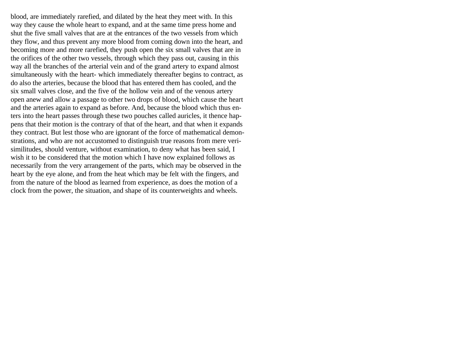blood, are immediately rarefied, and dilated by the heat they meet with. In this way they cause the whole heart to expand, and at the same time press home and shut the five small valves that are at the entrances of the two vessels from which they flow, and thus prevent any more blood from coming down into the heart, and becoming more and more rarefied, they push open the six small valves that are in the orifices of the other two vessels, through which they pass out, causing in this way all the branches of the arterial vein and of the grand artery to expand almost simultaneously with the heart- which immediately thereafter begins to contract, as do also the arteries, because the blood that has entered them has cooled, and the six small valves close, and the five of the hollow vein and of the venous artery open anew and allow a passage to other two drops of blood, which cause the heart and the arteries again to expand as before. And, because the blood which thus enters into the heart passes through these two pouches called auricles, it thence happens that their motion is the contrary of that of the heart, and that when it expands they contract. But lest those who are ignorant of the force of mathematical demonstrations, and who are not accustomed to distinguish true reasons from mere verisimilitudes, should venture, without examination, to deny what has been said, I wish it to be considered that the motion which I have now explained follows as necessarily from the very arrangement of the parts, which may be observed in the heart by the eye alone, and from the heat which may be felt with the fingers, and from the nature of the blood as learned from experience, as does the motion of a clock from the power, the situation, and shape of its counterweights and wheels.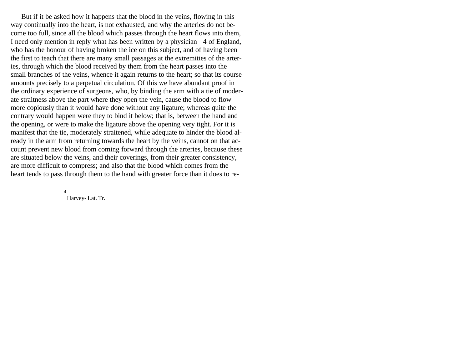But if it be asked how it happens that the blood in the veins, flowing in this way continually into the heart, is not exhausted, and why the arteries do not become too full, since all the blood which passes through the heart flows into them, I need only mention in reply what has been written by a physician 4 of England, who has the honour of having broken the ice on this subject, and of having been the first to teach that there are many small passages at the extremities of the arteries, through which the blood received by them from the heart passes into the small branches of the veins, whence it again returns to the heart; so that its course amounts precisely to a perpetual circulation. Of this we have abundant proof in the ordinary experience of surgeons, who, by binding the arm with a tie of moderate straitness above the part where they open the vein, cause the blood to flow more copiously than it would have done without any ligature; whereas quite the contrary would happen were they to bind it below; that is, between the hand and the opening, or were to make the ligature above the opening very tight. For it is manifest that the tie, moderately straitened, while adequate to hinder the blood already in the arm from returning towards the heart by the veins, cannot on that account prevent new blood from coming forward through the arteries, because these are situated below the veins, and their coverings, from their greater consistency, are more difficult to compress; and also that the blood which comes from the heart tends to pass through them to the hand with greater force than it does to re-

> 4 Harvey- Lat. Tr.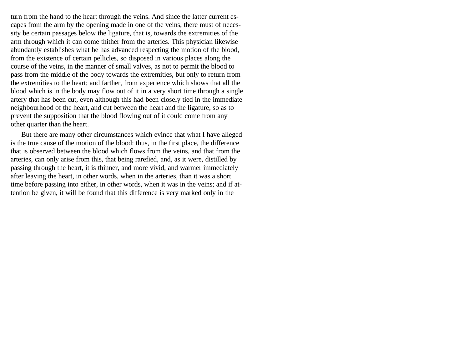turn from the hand to the heart through the veins. And since the latter current escapes from the arm by the opening made in one of the veins, there must of necessity be certain passages below the ligature, that is, towards the extremities of the arm through which it can come thither from the arteries. This physician likewise abundantly establishes what he has advanced respecting the motion of the blood, from the existence of certain pellicles, so disposed in various places along the course of the veins, in the manner of small valves, as not to permit the blood to pass from the middle of the body towards the extremities, but only to return from the extremities to the heart; and farther, from experience which shows that all the blood which is in the body may flow out of it in a very short time through a single artery that has been cut, even although this had been closely tied in the immediate neighbourhood of the heart, and cut between the heart and the ligature, so as to prevent the supposition that the blood flowing out of it could come from any other quarter than the heart.

But there are many other circumstances which evince that what I have alleged is the true cause of the motion of the blood: thus, in the first place, the difference that is observed between the blood which flows from the veins, and that from the arteries, can only arise from this, that being rarefied, and, as it were, distilled by passing through the heart, it is thinner, and more vivid, and warmer immediately after leaving the heart, in other words, when in the arteries, than it was a short time before passing into either, in other words, when it was in the veins; and if attention be given, it will be found that this difference is very marked only in the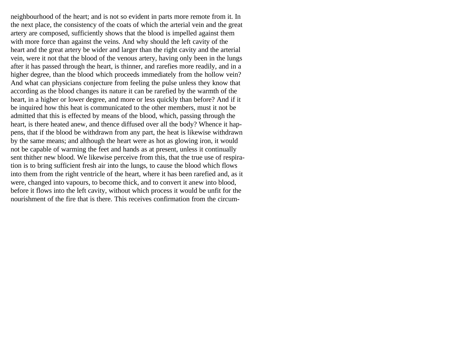neighbourhood of the heart; and is not so evident in parts more remote from it. In the next place, the consistency of the coats of which the arterial vein and the great artery are composed, sufficiently shows that the blood is impelled against them with more force than against the veins. And why should the left cavity of the heart and the great artery be wider and larger than the right cavity and the arterial vein, were it not that the blood of the venous artery, having only been in the lungs after it has passed through the heart, is thinner, and rarefies more readily, and in a higher degree, than the blood which proceeds immediately from the hollow vein? And what can physicians conjecture from feeling the pulse unless they know that according as the blood changes its nature it can be rarefied by the warmth of the heart, in a higher or lower degree, and more or less quickly than before? And if it be inquired how this heat is communicated to the other members, must it not be admitted that this is effected by means of the blood, which, passing through the heart, is there heated anew, and thence diffused over all the body? Whence it happens, that if the blood be withdrawn from any part, the heat is likewise withdrawn by the same means; and although the heart were as hot as glowing iron, it would not be capable of warming the feet and hands as at present, unless it continually sent thither new blood. We likewise perceive from this, that the true use of respiration is to bring sufficient fresh air into the lungs, to cause the blood which flows into them from the right ventricle of the heart, where it has been rarefied and, as it were, changed into vapours, to become thick, and to convert it anew into blood, before it flows into the left cavity, without which process it would be unfit for the nourishment of the fire that is there. This receives confirmation from the circum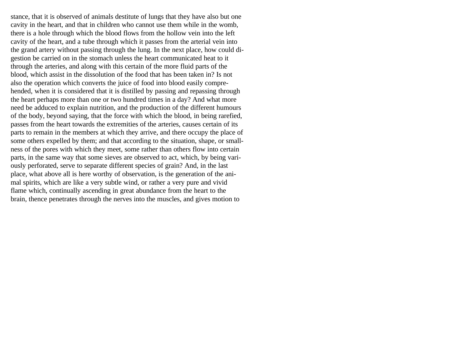stance, that it is observed of animals destitute of lungs that they have also but one cavity in the heart, and that in children who cannot use them while in the womb, there is a hole through which the blood flows from the hollow vein into the left cavity of the heart, and a tube through which it passes from the arterial vein into the grand artery without passing through the lung. In the next place, how could digestion be carried on in the stomach unless the heart communicated heat to it through the arteries, and along with this certain of the more fluid parts of the blood, which assist in the dissolution of the food that has been taken in? Is not also the operation which converts the juice of food into blood easily comprehended, when it is considered that it is distilled by passing and repassing through the heart perhaps more than one or two hundred times in a day? And what more need be adduced to explain nutrition, and the production of the different humours of the body, beyond saying, that the force with which the blood, in being rarefied, passes from the heart towards the extremities of the arteries, causes certain of its parts to remain in the members at which they arrive, and there occupy the place of some others expelled by them; and that according to the situation, shape, or smallness of the pores with which they meet, some rather than others flow into certain parts, in the same way that some sieves are observed to act, which, by being variously perforated, serve to separate different species of grain? And, in the last place, what above all is here worthy of observation, is the generation of the animal spirits, which are like a very subtle wind, or rather a very pure and vivid flame which, continually ascending in great abundance from the heart to the brain, thence penetrates through the nerves into the muscles, and gives motion to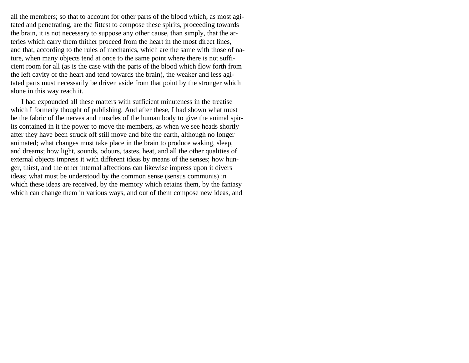all the members; so that to account for other parts of the blood which, as most agitated and penetrating, are the fittest to compose these spirits, proceeding towards the brain, it is not necessary to suppose any other cause, than simply, that the arteries which carry them thither proceed from the heart in the most direct lines, and that, according to the rules of mechanics, which are the same with those of nature, when many objects tend at once to the same point where there is not sufficient room for all (as is the case with the parts of the blood which flow forth from the left cavity of the heart and tend towards the brain), the weaker and less agitated parts must necessarily be driven aside from that point by the stronger which alone in this way reach it.

I had expounded all these matters with sufficient minuteness in the treatise which I formerly thought of publishing. And after these, I had shown what must be the fabric of the nerves and muscles of the human body to give the animal spirits contained in it the power to move the members, as when we see heads shortly after they have been struck off still move and bite the earth, although no longer animated; what changes must take place in the brain to produce waking, sleep, and dreams; how light, sounds, odours, tastes, heat, and all the other qualities of external objects impress it with different ideas by means of the senses; how hunger, thirst, and the other internal affections can likewise impress upon it divers ideas; what must be understood by the common sense (sensus communis) in which these ideas are received, by the memory which retains them, by the fantasy which can change them in various ways, and out of them compose new ideas, and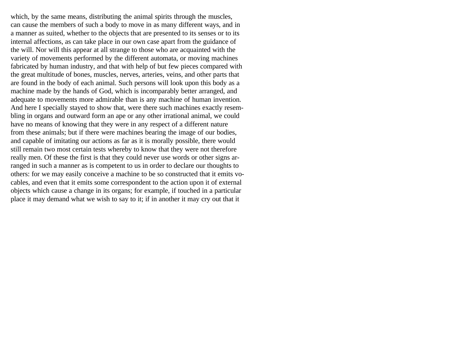which, by the same means, distributing the animal spirits through the muscles, can cause the members of such a body to move in as many different ways, and in a manner as suited, whether to the objects that are presented to its senses or to its internal affections, as can take place in our own case apart from the guidance of the will. Nor will this appear at all strange to those who are acquainted with the variety of movements performed by the different automata, or moving machines fabricated by human industry, and that with help of but few pieces compared with the great multitude of bones, muscles, nerves, arteries, veins, and other parts that are found in the body of each animal. Such persons will look upon this body as a machine made by the hands of God, which is incomparably better arranged, and adequate to movements more admirable than is any machine of human invention. And here I specially stayed to show that, were there such machines exactly resembling in organs and outward form an ape or any other irrational animal, we could have no means of knowing that they were in any respect of a different nature from these animals; but if there were machines bearing the image of our bodies, and capable of imitating our actions as far as it is morally possible, there would still remain two most certain tests whereby to know that they were not therefore really men. Of these the first is that they could never use words or other signs arranged in such a manner as is competent to us in order to declare our thoughts to others: for we may easily conceive a machine to be so constructed that it emits vocables, and even that it emits some correspondent to the action upon it of external objects which cause a change in its organs; for example, if touched in a particular place it may demand what we wish to say to it; if in another it may cry out that it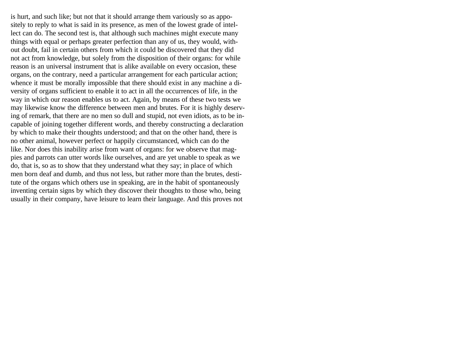is hurt, and such like; but not that it should arrange them variously so as appositely to reply to what is said in its presence, as men of the lowest grade of intellect can do. The second test is, that although such machines might execute many things with equal or perhaps greater perfection than any of us, they would, without doubt, fail in certain others from which it could be discovered that they did not act from knowledge, but solely from the disposition of their organs: for while reason is an universal instrument that is alike available on every occasion, these organs, on the contrary, need a particular arrangement for each particular action; whence it must be morally impossible that there should exist in any machine a diversity of organs sufficient to enable it to act in all the occurrences of life, in the way in which our reason enables us to act. Again, by means of these two tests we may likewise know the difference between men and brutes. For it is highly deserving of remark, that there are no men so dull and stupid, not even idiots, as to be incapable of joining together different words, and thereby constructing a declaration by which to make their thoughts understood; and that on the other hand, there is no other animal, however perfect or happily circumstanced, which can do the like. Nor does this inability arise from want of organs: for we observe that magpies and parrots can utter words like ourselves, and are yet unable to speak as we do, that is, so as to show that they understand what they say; in place of which men born deaf and dumb, and thus not less, but rather more than the brutes, destitute of the organs which others use in speaking, are in the habit of spontaneously inventing certain signs by which they discover their thoughts to those who, being usually in their company, have leisure to learn their language. And this proves not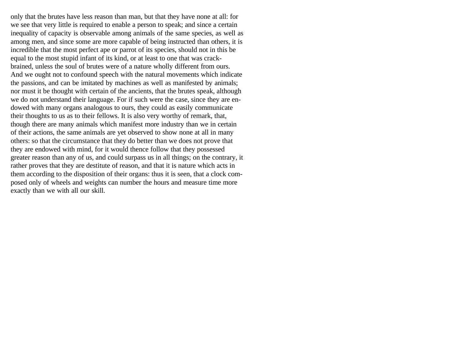only that the brutes have less reason than man, but that they have none at all: for we see that very little is required to enable a person to speak; and since a certain inequality of capacity is observable among animals of the same species, as well as among men, and since some are more capable of being instructed than others, it is incredible that the most perfect ape or parrot of its species, should not in this be equal to the most stupid infant of its kind, or at least to one that was crackbrained, unless the soul of brutes were of a nature wholly different from ours. And we ought not to confound speech with the natural movements which indicate the passions, and can be imitated by machines as well as manifested by animals; nor must it be thought with certain of the ancients, that the brutes speak, although we do not understand their language. For if such were the case, since they are endowed with many organs analogous to ours, they could as easily communicate their thoughts to us as to their fellows. It is also very worthy of remark, that, though there are many animals which manifest more industry than we in certain of their actions, the same animals are yet observed to show none at all in many others: so that the circumstance that they do better than we does not prove that they are endowed with mind, for it would thence follow that they possessed greater reason than any of us, and could surpass us in all things; on the contrary, it rather proves that they are destitute of reason, and that it is nature which acts in them according to the disposition of their organs: thus it is seen, that a clock composed only of wheels and weights can number the hours and measure time more exactly than we with all our skill.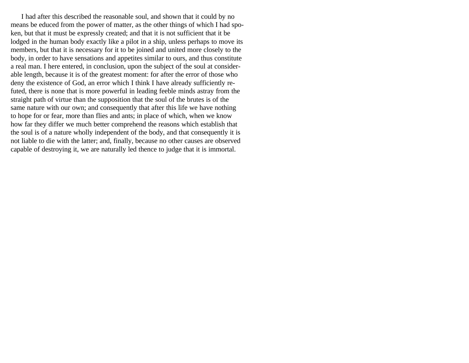I had after this described the reasonable soul, and shown that it could by no means be educed from the power of matter, as the other things of which I had spoken, but that it must be expressly created; and that it is not sufficient that it be lodged in the human body exactly like a pilot in a ship, unless perhaps to move its members, but that it is necessary for it to be joined and united more closely to the body, in order to have sensations and appetites similar to ours, and thus constitute a real man. I here entered, in conclusion, upon the subject of the soul at considerable length, because it is of the greatest moment: for after the error of those who deny the existence of God, an error which I think I have already sufficiently refuted, there is none that is more powerful in leading feeble minds astray from the straight path of virtue than the supposition that the soul of the brutes is of the same nature with our own; and consequently that after this life we have nothing to hope for or fear, more than flies and ants; in place of which, when we know how far they differ we much better comprehend the reasons which establish that the soul is of a nature wholly independent of the body, and that consequently it is not liable to die with the latter; and, finally, because no other causes are observed capable of destroying it, we are naturally led thence to judge that it is immortal.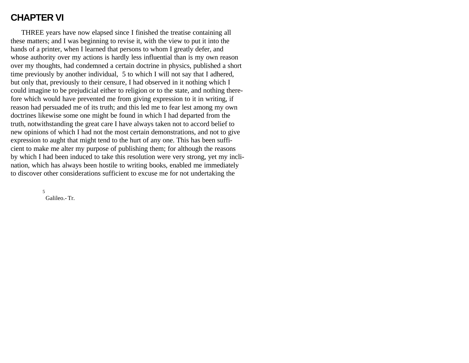## **CHAPTER VI**

THREE years have now elapsed since I finished the treatise containing all these matters; and I was beginning to revise it, with the view to put it into the hands of a printer, when I learned that persons to whom I greatly defer, and whose authority over my actions is hardly less influential than is my own reason over my thoughts, had condemned a certain doctrine in physics, published a short time previously by another individual, 5 to which I will not say that I adhered, but only that, previously to their censure, I had observed in it nothing which I could imagine to be prejudicial either to religion or to the state, and nothing therefore which would have prevented me from giving expression to it in writing, if reason had persuaded me of its truth; and this led me to fear lest among my own doctrines likewise some one might be found in which I had departed from the truth, notwithstanding the great care I have always taken not to accord belief to new opinions of which I had not the most certain demonstrations, and not to give expression to aught that might tend to the hurt of any one. This has been sufficient to make me alter my purpose of publishing them; for although the reasons by which I had been induced to take this resolution were very strong, yet my inclination, which has always been hostile to writing books, enabled me immediately to discover other considerations sufficient to excuse me for not undertaking the

> 5 Galileo.- Tr.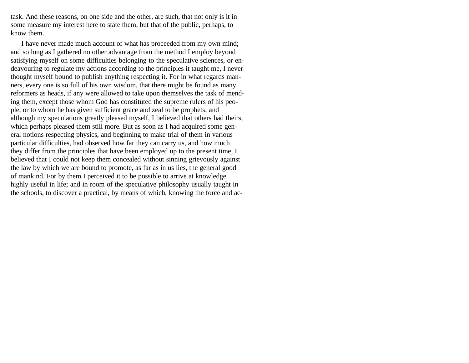task. And these reasons, on one side and the other, are such, that not only is it in some measure my interest here to state them, but that of the public, perhaps, to know them.

I have never made much account of what has proceeded from my own mind; and so long as I gathered no other advantage from the method I employ beyond satisfying myself on some difficulties belonging to the speculative sciences, or endeavouring to regulate my actions according to the principles it taught me, I never thought myself bound to publish anything respecting it. For in what regards manners, every one is so full of his own wisdom, that there might be found as many reformers as heads, if any were allowed to take upon themselves the task of mending them, except those whom God has constituted the supreme rulers of his people, or to whom he has given sufficient grace and zeal to be prophets; and although my speculations greatly pleased myself, I believed that others had theirs, which perhaps pleased them still more. But as soon as I had acquired some general notions respecting physics, and beginning to make trial of them in various particular difficulties, had observed how far they can carry us, and how much they differ from the principles that have been employed up to the present time, I believed that I could not keep them concealed without sinning grievously against the law by which we are bound to promote, as far as in us lies, the general good of mankind. For by them I perceived it to be possible to arrive at knowledge highly useful in life; and in room of the speculative philosophy usually taught in the schools, to discover a practical, by means of which, knowing the force and ac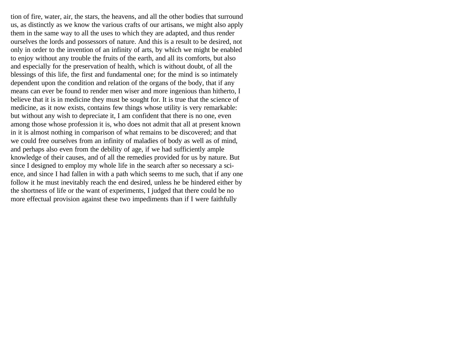tion of fire, water, air, the stars, the heavens, and all the other bodies that surround us, as distinctly as we know the various crafts of our artisans, we might also apply them in the same way to all the uses to which they are adapted, and thus render ourselves the lords and possessors of nature. And this is a result to be desired, not only in order to the invention of an infinity of arts, by which we might be enabled to enjoy without any trouble the fruits of the earth, and all its comforts, but also and especially for the preservation of health, which is without doubt, of all the blessings of this life, the first and fundamental one; for the mind is so intimately dependent upon the condition and relation of the organs of the body, that if any means can ever be found to render men wiser and more ingenious than hitherto, I believe that it is in medicine they must be sought for. It is true that the science of medicine, as it now exists, contains few things whose utility is very remarkable: but without any wish to depreciate it, I am confident that there is no one, even among those whose profession it is, who does not admit that all at present known in it is almost nothing in comparison of what remains to be discovered; and that we could free ourselves from an infinity of maladies of body as well as of mind, and perhaps also even from the debility of age, if we had sufficiently ample knowledge of their causes, and of all the remedies provided for us by nature. But since I designed to employ my whole life in the search after so necessary a science, and since I had fallen in with a path which seems to me such, that if any one follow it he must inevitably reach the end desired, unless he be hindered either by the shortness of life or the want of experiments, I judged that there could be no more effectual provision against these two impediments than if I were faithfully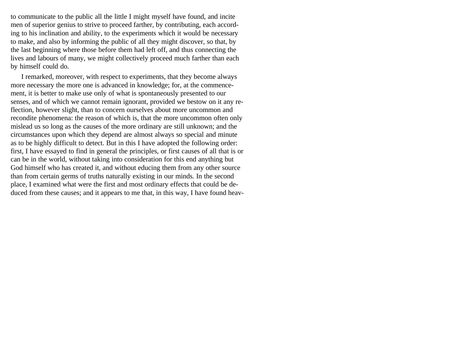to communicate to the public all the little I might myself have found, and incite men of superior genius to strive to proceed farther, by contributing, each according to his inclination and ability, to the experiments which it would be necessary to make, and also by informing the public of all they might discover, so that, by the last beginning where those before them had left off, and thus connecting the lives and labours of many, we might collectively proceed much farther than each by himself could do.

I remarked, moreover, with respect to experiments, that they become always more necessary the more one is advanced in knowledge; for, at the commencement, it is better to make use only of what is spontaneously presented to our senses, and of which we cannot remain ignorant, provided we bestow on it any reflection, however slight, than to concern ourselves about more uncommon and recondite phenomena: the reason of which is, that the more uncommon often only mislead us so long as the causes of the more ordinary are still unknown; and the circumstances upon which they depend are almost always so special and minute as to be highly difficult to detect. But in this I have adopted the following order: first, I have essayed to find in general the principles, or first causes of all that is or can be in the world, without taking into consideration for this end anything but God himself who has created it, and without educing them from any other source than from certain germs of truths naturally existing in our minds. In the second place, I examined what were the first and most ordinary effects that could be deduced from these causes; and it appears to me that, in this way, I have found heav-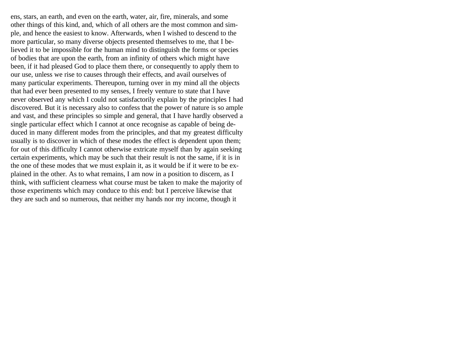ens, stars, an earth, and even on the earth, water, air, fire, minerals, and some other things of this kind, and, which of all others are the most common and simple, and hence the easiest to know. Afterwards, when I wished to descend to the more particular, so many diverse objects presented themselves to me, that I believed it to be impossible for the human mind to distinguish the forms or species of bodies that are upon the earth, from an infinity of others which might have been, if it had pleased God to place them there, or consequently to apply them to our use, unless we rise to causes through their effects, and avail ourselves of many particular experiments. Thereupon, turning over in my mind all the objects that had ever been presented to my senses, I freely venture to state that I have never observed any which I could not satisfactorily explain by the principles I had discovered. But it is necessary also to confess that the power of nature is so ample and vast, and these principles so simple and general, that I have hardly observed a single particular effect which I cannot at once recognise as capable of being deduced in many different modes from the principles, and that my greatest difficulty usually is to discover in which of these modes the effect is dependent upon them; for out of this difficulty I cannot otherwise extricate myself than by again seeking certain experiments, which may be such that their result is not the same, if it is in the one of these modes that we must explain it, as it would be if it were to be explained in the other. As to what remains, I am now in a position to discern, as I think, with sufficient clearness what course must be taken to make the majority of those experiments which may conduce to this end: but I perceive likewise that they are such and so numerous, that neither my hands nor my income, though it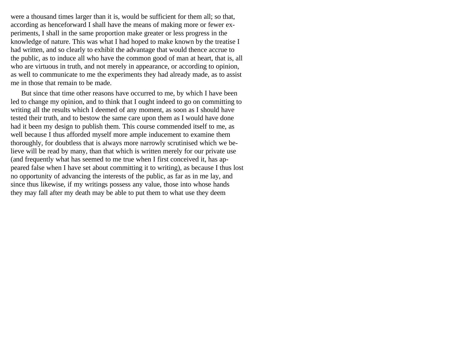were a thousand times larger than it is, would be sufficient for them all; so that, according as henceforward I shall have the means of making more or fewer experiments, I shall in the same proportion make greater or less progress in the knowledge of nature. This was what I had hoped to make known by the treatise I had written, and so clearly to exhibit the advantage that would thence accrue to the public, as to induce all who have the common good of man at heart, that is, all who are virtuous in truth, and not merely in appearance, or according to opinion, as well to communicate to me the experiments they had already made, as to assist me in those that remain to be made.

But since that time other reasons have occurred to me, by which I have been led to change my opinion, and to think that I ought indeed to go on committing to writing all the results which I deemed of any moment, as soon as I should have tested their truth, and to bestow the same care upon them as I would have done had it been my design to publish them. This course commended itself to me, as well because I thus afforded myself more ample inducement to examine them thoroughly, for doubtless that is always more narrowly scrutinised which we believe will be read by many, than that which is written merely for our private use (and frequently what has seemed to me true when I first conceived it, has appeared false when I have set about committing it to writing), as because I thus lost no opportunity of advancing the interests of the public, as far as in me lay, and since thus likewise, if my writings possess any value, those into whose hands they may fall after my death may be able to put them to what use they deem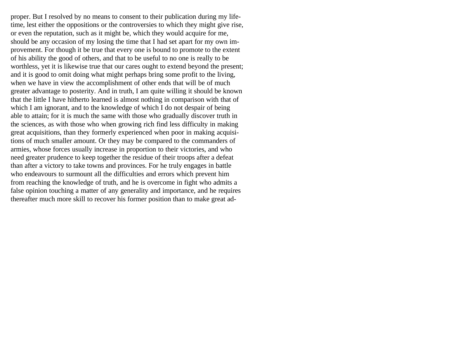proper. But I resolved by no means to consent to their publication during my lifetime, lest either the oppositions or the controversies to which they might give rise, or even the reputation, such as it might be, which they would acquire for me, should be any occasion of my losing the time that I had set apart for my own improvement. For though it be true that every one is bound to promote to the extent of his ability the good of others, and that to be useful to no one is really to be worthless, yet it is likewise true that our cares ought to extend beyond the present; and it is good to omit doing what might perhaps bring some profit to the living, when we have in view the accomplishment of other ends that will be of much greater advantage to posterity. And in truth, I am quite willing it should be known that the little I have hitherto learned is almost nothing in comparison with that of which I am ignorant, and to the knowledge of which I do not despair of being able to attain; for it is much the same with those who gradually discover truth in the sciences, as with those who when growing rich find less difficulty in making great acquisitions, than they formerly experienced when poor in making acquisitions of much smaller amount. Or they may be compared to the commanders of armies, whose forces usually increase in proportion to their victories, and who need greater prudence to keep together the residue of their troops after a defeat than after a victory to take towns and provinces. For he truly engages in battle who endeavours to surmount all the difficulties and errors which prevent him from reaching the knowledge of truth, and he is overcome in fight who admits a false opinion touching a matter of any generality and importance, and he requires thereafter much more skill to recover his former position than to make great ad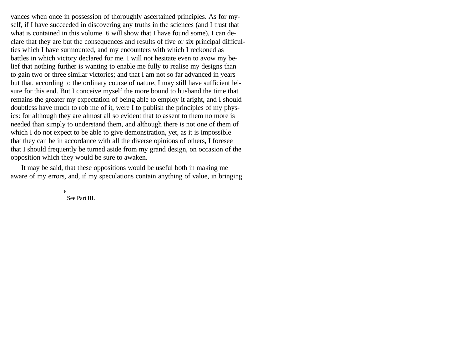vances when once in possession of thoroughly ascertained principles. As for myself, if I have succeeded in discovering any truths in the sciences (and I trust that what is contained in this volume 6 will show that I have found some), I can declare that they are but the consequences and results of five or six principal difficulties which I have surmounted, and my encounters with which I reckoned as battles in which victory declared for me. I will not hesitate even to avow my belief that nothing further is wanting to enable me fully to realise my designs than to gain two or three similar victories; and that I am not so far advanced in years but that, according to the ordinary course of nature, I may still have sufficient leisure for this end. But I conceive myself the more bound to husband the time that remains the greater my expectation of being able to employ it aright, and I should doubtless have much to rob me of it, were I to publish the principles of my physics: for although they are almost all so evident that to assent to them no more is needed than simply to understand them, and although there is not one of them of which I do not expect to be able to give demonstration, yet, as it is impossible that they can be in accordance with all the diverse opinions of others, I foresee that I should frequently be turned aside from my grand design, on occasion of the opposition which they would be sure to awaken.

It may be said, that these oppositions would be useful both in making me aware of my errors, and, if my speculations contain anything of value, in bringing

> 6 See Part III.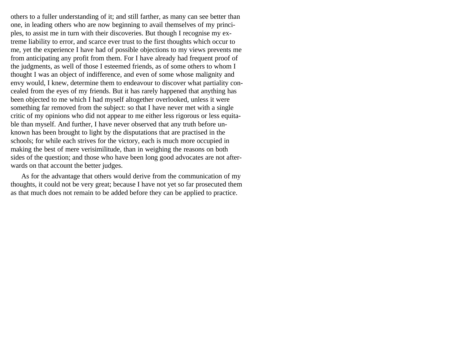others to a fuller understanding of it; and still farther, as many can see better than one, in leading others who are now beginning to avail themselves of my principles, to assist me in turn with their discoveries. But though I recognise my extreme liability to error, and scarce ever trust to the first thoughts which occur to me, yet the experience I have had of possible objections to my views prevents me from anticipating any profit from them. For I have already had frequent proof of the judgments, as well of those I esteemed friends, as of some others to whom I thought I was an object of indifference, and even of some whose malignity and envy would, I knew, determine them to endeavour to discover what partiality concealed from the eyes of my friends. But it has rarely happened that anything has been objected to me which I had myself altogether overlooked, unless it were something far removed from the subject: so that I have never met with a single critic of my opinions who did not appear to me either less rigorous or less equitable than myself. And further, I have never observed that any truth before unknown has been brought to light by the disputations that are practised in the schools; for while each strives for the victory, each is much more occupied in making the best of mere verisimilitude, than in weighing the reasons on both sides of the question; and those who have been long good advocates are not afterwards on that account the better judges.

As for the advantage that others would derive from the communication of my thoughts, it could not be very great; because I have not yet so far prosecuted them as that much does not remain to be added before they can be applied to practice.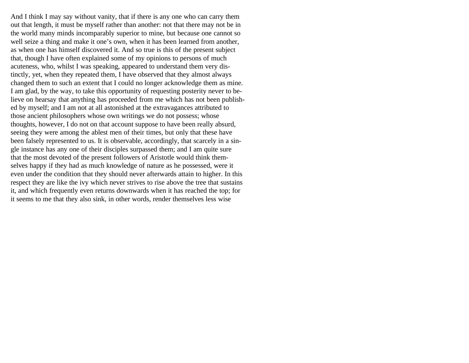And I think I may say without vanity, that if there is any one who can carry them out that length, it must be myself rather than another: not that there may not be in the world many minds incomparably superior to mine, but because one cannot so well seize a thing and make it one's own, when it has been learned from another, as when one has himself discovered it. And so true is this of the present subject that, though I have often explained some of my opinions to persons of much acuteness, who, whilst I was speaking, appeared to understand them very distinctly, yet, when they repeated them, I have observed that they almost always changed them to such an extent that I could no longer acknowledge them as mine. I am glad, by the way, to take this opportunity of requesting posterity never to believe on hearsay that anything has proceeded from me which has not been published by myself; and I am not at all astonished at the extravagances attributed to those ancient philosophers whose own writings we do not possess; whose thoughts, however, I do not on that account suppose to have been really absurd, seeing they were among the ablest men of their times, but only that these have been falsely represented to us. It is observable, accordingly, that scarcely in a single instance has any one of their disciples surpassed them; and I am quite sure that the most devoted of the present followers of Aristotle would think themselves happy if they had as much knowledge of nature as he possessed, were it even under the condition that they should never afterwards attain to higher. In this respect they are like the ivy which never strives to rise above the tree that sustains it, and which frequently even returns downwards when it has reached the top; for it seems to me that they also sink, in other words, render themselves less wise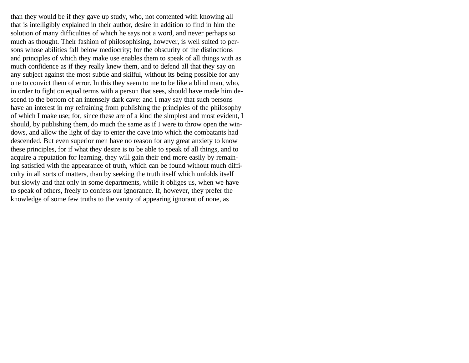than they would be if they gave up study, who, not contented with knowing all that is intelligibly explained in their author, desire in addition to find in him the solution of many difficulties of which he says not a word, and never perhaps so much as thought. Their fashion of philosophising, however, is well suited to persons whose abilities fall below mediocrity; for the obscurity of the distinctions and principles of which they make use enables them to speak of all things with as much confidence as if they really knew them, and to defend all that they say on any subject against the most subtle and skilful, without its being possible for any one to convict them of error. In this they seem to me to be like a blind man, who, in order to fight on equal terms with a person that sees, should have made him descend to the bottom of an intensely dark cave: and I may say that such persons have an interest in my refraining from publishing the principles of the philosophy of which I make use; for, since these are of a kind the simplest and most evident, I should, by publishing them, do much the same as if I were to throw open the windows, and allow the light of day to enter the cave into which the combatants had descended. But even superior men have no reason for any great anxiety to know these principles, for if what they desire is to be able to speak of all things, and to acquire a reputation for learning, they will gain their end more easily by remaining satisfied with the appearance of truth, which can be found without much difficulty in all sorts of matters, than by seeking the truth itself which unfolds itself but slowly and that only in some departments, while it obliges us, when we have to speak of others, freely to confess our ignorance. If, however, they prefer the knowledge of some few truths to the vanity of appearing ignorant of none, as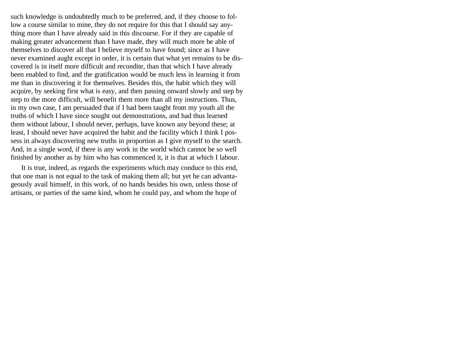such knowledge is undoubtedly much to be preferred, and, if they choose to follow a course similar to mine, they do not require for this that I should say anything more than I have already said in this discourse. For if they are capable of making greater advancement than I have made, they will much more be able of themselves to discover all that I believe myself to have found; since as I have never examined aught except in order, it is certain that what yet remains to be discovered is in itself more difficult and recondite, than that which I have already been enabled to find, and the gratification would be much less in learning it from me than in discovering it for themselves. Besides this, the habit which they will acquire, by seeking first what is easy, and then passing onward slowly and step by step to the more difficult, will benefit them more than all my instructions. Thus, in my own case, I am persuaded that if I had been taught from my youth all the truths of which I have since sought out demonstrations, and had thus learned them without labour, I should never, perhaps, have known any beyond these; at least, I should never have acquired the habit and the facility which I think I possess in always discovering new truths in proportion as I give myself to the search. And, in a single word, if there is any work in the world which cannot be so well finished by another as by him who has commenced it, it is that at which I labour.

It is true, indeed, as regards the experiments which may conduce to this end, that one man is not equal to the task of making them all; but yet he can advantageously avail himself, in this work, of no hands besides his own, unless those of artisans, or parties of the same kind, whom he could pay, and whom the hope of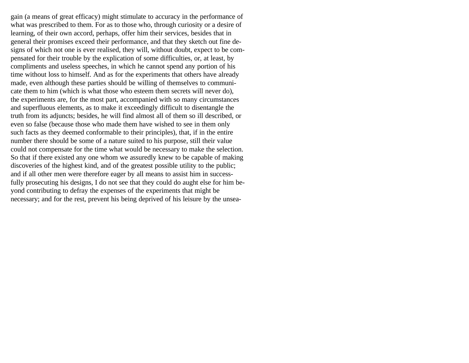gain (a means of great efficacy) might stimulate to accuracy in the performance of what was prescribed to them. For as to those who, through curiosity or a desire of learning, of their own accord, perhaps, offer him their services, besides that in general their promises exceed their performance, and that they sketch out fine designs of which not one is ever realised, they will, without doubt, expect to be compensated for their trouble by the explication of some difficulties, or, at least, by compliments and useless speeches, in which he cannot spend any portion of his time without loss to himself. And as for the experiments that others have already made, even although these parties should be willing of themselves to communicate them to him (which is what those who esteem them secrets will never do), the experiments are, for the most part, accompanied with so many circumstances and superfluous elements, as to make it exceedingly difficult to disentangle the truth from its adjuncts; besides, he will find almost all of them so ill described, or even so false (because those who made them have wished to see in them only such facts as they deemed conformable to their principles), that, if in the entire number there should be some of a nature suited to his purpose, still their value could not compensate for the time what would be necessary to make the selection. So that if there existed any one whom we assuredly knew to be capable of making discoveries of the highest kind, and of the greatest possible utility to the public; and if all other men were therefore eager by all means to assist him in successfully prosecuting his designs, I do not see that they could do aught else for him beyond contributing to defray the expenses of the experiments that might be necessary; and for the rest, prevent his being deprived of his leisure by the unsea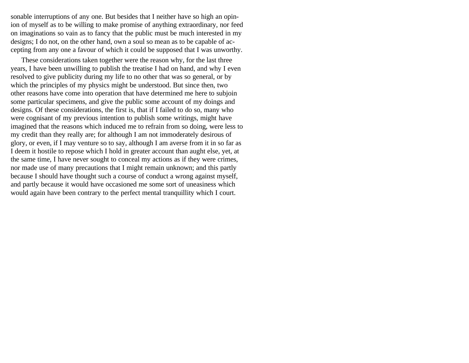sonable interruptions of any one. But besides that I neither have so high an opinion of myself as to be willing to make promise of anything extraordinary, nor feed on imaginations so vain as to fancy that the public must be much interested in my designs; I do not, on the other hand, own a soul so mean as to be capable of accepting from any one a favour of which it could be supposed that I was unworthy.

These considerations taken together were the reason why, for the last three years, I have been unwilling to publish the treatise I had on hand, and why I even resolved to give publicity during my life to no other that was so general, or by which the principles of my physics might be understood. But since then, two other reasons have come into operation that have determined me here to subjoin some particular specimens, and give the public some account of my doings and designs. Of these considerations, the first is, that if I failed to do so, many who were cognisant of my previous intention to publish some writings, might have imagined that the reasons which induced me to refrain from so doing, were less to my credit than they really are; for although I am not immoderately desirous of glory, or even, if I may venture so to say, although I am averse from it in so far as I deem it hostile to repose which I hold in greater account than aught else, yet, at the same time, I have never sought to conceal my actions as if they were crimes, nor made use of many precautions that I might remain unknown; and this partly because I should have thought such a course of conduct a wrong against myself, and partly because it would have occasioned me some sort of uneasiness which would again have been contrary to the perfect mental tranquillity which I court.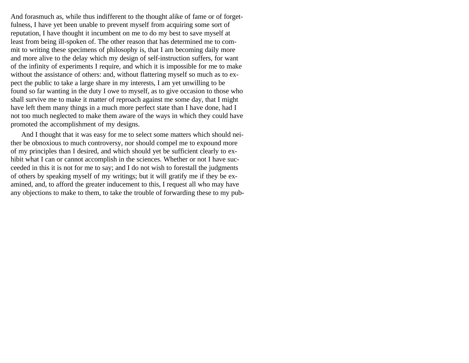And forasmuch as, while thus indifferent to the thought alike of fame or of forgetfulness, I have yet been unable to prevent myself from acquiring some sort of reputation, I have thought it incumbent on me to do my best to save myself at least from being ill-spoken of. The other reason that has determined me to commit to writing these specimens of philosophy is, that I am becoming daily more and more alive to the delay which my design of self-instruction suffers, for want of the infinity of experiments I require, and which it is impossible for me to make without the assistance of others: and, without flattering myself so much as to expect the public to take a large share in my interests, I am yet unwilling to be found so far wanting in the duty I owe to myself, as to give occasion to those who shall survive me to make it matter of reproach against me some day, that I might have left them many things in a much more perfect state than I have done, had I not too much neglected to make them aware of the ways in which they could have promoted the accomplishment of my designs.

And I thought that it was easy for me to select some matters which should neither be obnoxious to much controversy, nor should compel me to expound more of my principles than I desired, and which should yet be sufficient clearly to exhibit what I can or cannot accomplish in the sciences. Whether or not I have succeeded in this it is not for me to say; and I do not wish to forestall the judgments of others by speaking myself of my writings; but it will gratify me if they be examined, and, to afford the greater inducement to this, I request all who may have any objections to make to them, to take the trouble of forwarding these to my pub-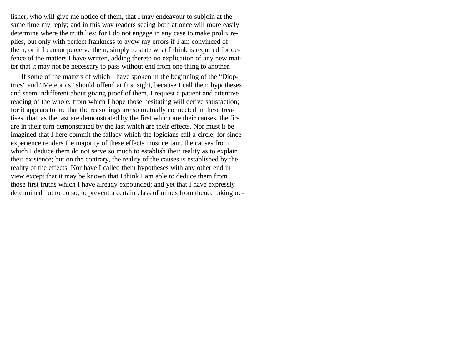lisher, who will give me notice of them, that I may endeavour to subjoin at the same time my reply; and in this way readers seeing both at once will more easily determine where the truth lies; for I do not engage in any case to make prolix replies, but only with perfect frankness to avow my errors if I am convinced of them, or if I cannot perceive them, simply to state what I think is required for defence of the matters I have written, adding thereto no explication of any new matter that it may not be necessary to pass without end from one thing to another.

If some of the matters of which I have spoken in the beginning of the "Dioptrics" and "Meteorics" should offend at first sight, because I call them hypotheses and seem indifferent about giving proof of them, I request a patient and attentive reading of the whole, from which I hope those hesitating will derive satisfaction; for it appears to me that the reasonings are so mutually connected in these treatises, that, as the last are demonstrated by the first which are their causes, the first are in their turn demonstrated by the last which are their effects. Nor must it be imagined that I here commit the fallacy which the logicians call a circle; for since experience renders the majority of these effects most certain, the causes from which I deduce them do not serve so much to establish their reality as to explain their existence; but on the contrary, the reality of the causes is established by the reality of the effects. Nor have I called them hypotheses with any other end in view except that it may be known that I think I am able to deduce them from those first truths which I have already expounded; and yet that I have expressly determined not to do so, to prevent a certain class of minds from thence taking oc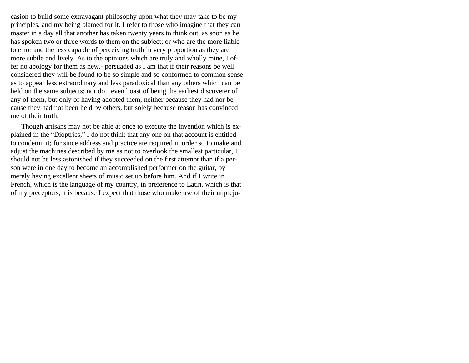casion to build some extravagant philosophy upon what they may take to be my principles, and my being blamed for it. I refer to those who imagine that they can master in a day all that another has taken twenty years to think out, as soon as he has spoken two or three words to them on the subject; or who are the more liable to error and the less capable of perceiving truth in very proportion as they are more subtle and lively. As to the opinions which are truly and wholly mine, I offer no apology for them as new,- persuaded as I am that if their reasons be well considered they will be found to be so simple and so conformed to common sense as to appear less extraordinary and less paradoxical than any others which can be held on the same subjects; nor do I even boast of being the earliest discoverer of any of them, but only of having adopted them, neither because they had nor because they had not been held by others, but solely because reason has convinced me of their truth.

Though artisans may not be able at once to execute the invention which is explained in the "Dioptrics," I do not think that any one on that account is entitled to condemn it; for since address and practice are required in order so to make and adjust the machines described by me as not to overlook the smallest particular, I should not be less astonished if they succeeded on the first attempt than if a person were in one day to become an accomplished performer on the guitar, by merely having excellent sheets of music set up before him. And if I write in French, which is the language of my country, in preference to Latin, which is that of my preceptors, it is because I expect that those who make use of their unpreju